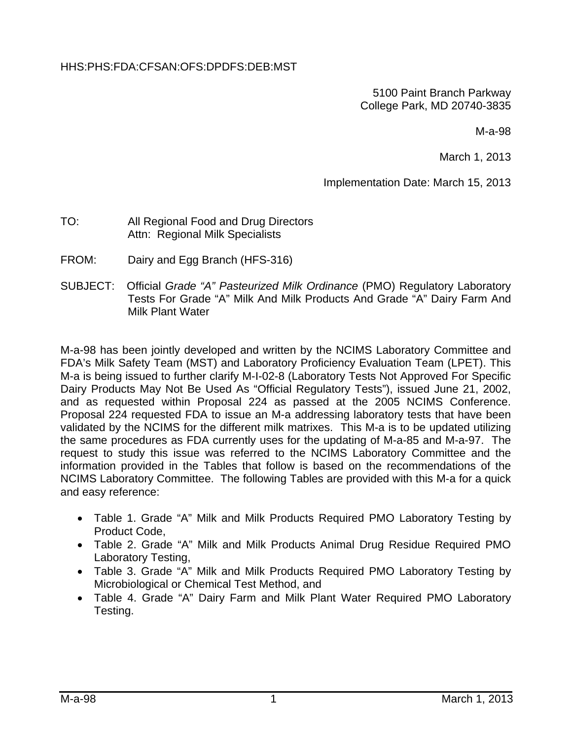#### HHS:PHS:FDA:CFSAN:OFS:DPDFS:DEB:MST

5100 Paint Branch Parkway College Park, MD 20740-3835

M-a-98

March 1, 2013

Implementation Date: March 15, 2013

#### TO: All Regional Food and Drug Directors Attn: Regional Milk Specialists

- FROM: Dairy and Egg Branch (HFS-316)
- SUBJECT: Official *Grade "A" Pasteurized Milk Ordinance* (PMO) Regulatory Laboratory Tests For Grade "A" Milk And Milk Products And Grade "A" Dairy Farm And Milk Plant Water

M-a-98 has been jointly developed and written by the NCIMS Laboratory Committee and FDA's Milk Safety Team (MST) and Laboratory Proficiency Evaluation Team (LPET). This M-a is being issued to further clarify M-I-02-8 (Laboratory Tests Not Approved For Specific Dairy Products May Not Be Used As "Official Regulatory Tests"), issued June 21, 2002, and as requested within Proposal 224 as passed at the 2005 NCIMS Conference. Proposal 224 requested FDA to issue an M-a addressing laboratory tests that have been validated by the NCIMS for the different milk matrixes. This M-a is to be updated utilizing the same procedures as FDA currently uses for the updating of M-a-85 and M-a-97. The request to study this issue was referred to the NCIMS Laboratory Committee and the information provided in the Tables that follow is based on the recommendations of the NCIMS Laboratory Committee. The following Tables are provided with this M-a for a quick and easy reference:

- Table 1. Grade "A" Milk and Milk Products Required PMO Laboratory Testing by Product Code,
- Table 2. Grade "A" Milk and Milk Products Animal Drug Residue Required PMO Laboratory Testing,
- Table 3. Grade "A" Milk and Milk Products Required PMO Laboratory Testing by Microbiological or Chemical Test Method, and
- Table 4. Grade "A" Dairy Farm and Milk Plant Water Required PMO Laboratory Testing.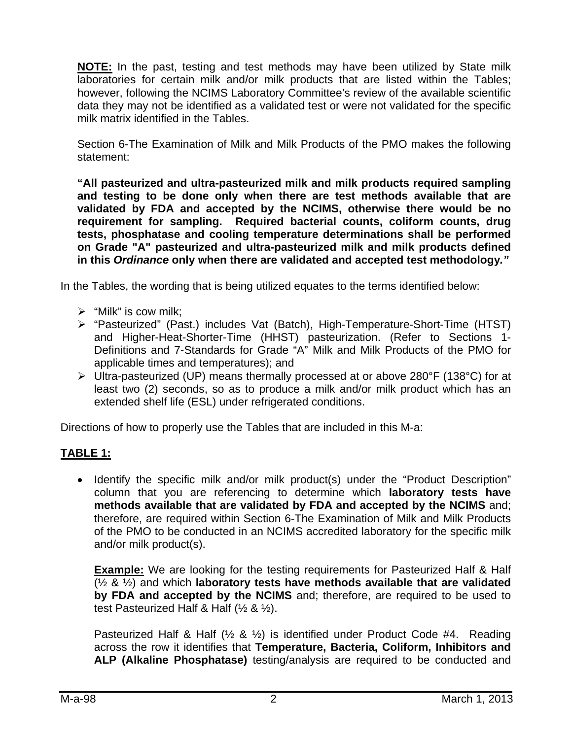**NOTE:** In the past, testing and test methods may have been utilized by State milk laboratories for certain milk and/or milk products that are listed within the Tables; however, following the NCIMS Laboratory Committee's review of the available scientific data they may not be identified as a validated test or were not validated for the specific milk matrix identified in the Tables.

Section 6-The Examination of Milk and Milk Products of the PMO makes the following statement:

**"All pasteurized and ultra-pasteurized milk and milk products required sampling and testing to be done only when there are test methods available that are validated by FDA and accepted by the NCIMS, otherwise there would be no**  requirement for sampling. Required bacterial counts, coliform counts, drug **tests, phosphatase and cooling temperature determinations shall be performed on Grade "A" pasteurized and ultra-pasteurized milk and milk products defined in this** *Ordinance* **only when there are validated and accepted test methodology***."*

In the Tables, the wording that is being utilized equates to the terms identified below:

- $\triangleright$  "Milk" is cow milk:
- "Pasteurized" (Past.) includes Vat (Batch), High-Temperature-Short-Time (HTST) and Higher-Heat-Shorter-Time (HHST) pasteurization. (Refer to Sections 1- Definitions and 7-Standards for Grade "A" Milk and Milk Products of the PMO for applicable times and temperatures); and
- Ultra-pasteurized (UP) means thermally processed at or above 280°F (138°C) for at least two (2) seconds, so as to produce a milk and/or milk product which has an extended shelf life (ESL) under refrigerated conditions.

Directions of how to properly use the Tables that are included in this M-a:

## **TABLE 1:**

• Identify the specific milk and/or milk product(s) under the "Product Description" column that you are referencing to determine which **laboratory tests have methods available that are validated by FDA and accepted by the NCIMS** and; therefore, are required within Section 6-The Examination of Milk and Milk Products of the PMO to be conducted in an NCIMS accredited laboratory for the specific milk and/or milk product(s).

**Example:** We are looking for the testing requirements for Pasteurized Half & Half (½ & ½) and which **laboratory tests have methods available that are validated by FDA and accepted by the NCIMS** and; therefore, are required to be used to test Pasteurized Half & Half (½ & ½).

Pasteurized Half & Half (½ & ½) is identified under Product Code #4. Reading across the row it identifies that **Temperature, Bacteria, Coliform, Inhibitors and ALP (Alkaline Phosphatase)** testing/analysis are required to be conducted and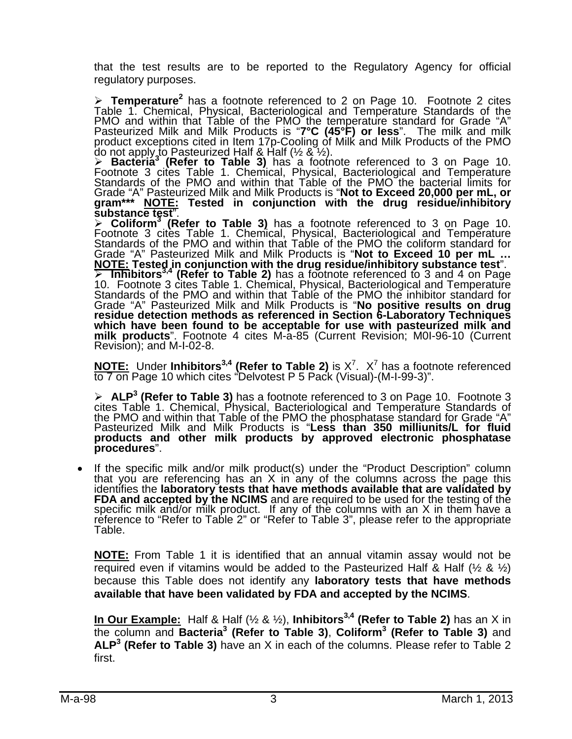that the test results are to be reported to the Regulatory Agency for official regulatory purposes.

> Temperature<sup>2</sup> has a footnote referenced to 2 on Page 10. Footnote 2 cites Table 1. Chemical, Physical, Bacteriological and Temperature Standards of the > Temperature<sup>2</sup> has a footnote referenced to 2 on Page 10. Footnote 2 cites Table 1. Chemical, Physical, Bacteriological and Temperature Standards of the PMO and within that Table of the PMO the temperature standard for G product exceptions cited in Item 17p-Cooling of Milk and Milk Products of the PMO do not apply to Pasteurized Half & Half (½ & ½).

> Bacteria<sup>3</sup> (Refer to Table 3) has a footnote referenced to 3 on Page 10.<br>Footnote 3 cites Table 1. Chemical, Physical, Bacteriological and Temperature<br>Standards of the PMO and within that Table of the PMO the bacterial Grade "A" Pasteurized Milk and Milk Products is "**Not to Exceed 20,000 per mL, or**<br>gram\*\*\* <u>NOTE:</u> Tested in conjunction with the drug residue/inhibitory<br>substance test".

> Coliform<sup>3</sup> (Refer to Table 3) has a footnote referenced to 3 on Page 10.<br>Footnote 3 cites Table 1. Chemical, Physical, Bacteriological and Temperature<br>Standards of the PMO and within that Table of the PMO the coliform s Grade "A" Pasteurized Milk and Milk Products is "**Not to Exceed 10 per mL …**<br><u>NOTE:</u> Tested in conjunction with the drug residue/inhibitory substance test". The bit ors<sup>3,4</sup> (Refer to Table 2) has a footnote referenced to 3 and 4 on Page<br>10. Footnote 3 cites Table 1. Chemical, Physical, Bacteriological and Temperature<br>Standards of the PMO and within that Table of the PMO the i Grade "A" Pasteurized Milk and Milk Products is "**No positive results on drug**<br>residue detection methods as referenced in Section 6-Laboratory Techniques<br>which have been found to be acceptable for use with pasteurized milk which have been found to be acceptable for use with pasteurized milk and milk products". Footnote 4 cites M-a-85 (Current Revision; M0I-96-10 (Current Revision); and M-I-02-8.

**NOTE:** Under Inhibitors<sup>3,4</sup> (Refer to Table 2) is  $X^7$ .  $X^7$  has a footnote referenced to 7 on Page 10 which cites "Delvotest P 5 Pack (Visual)-(M-I-99-3)".

> ALP<sup>3</sup> (Refer to Table 3) has a footnote referenced to 3 on Page 10. Footnote 3 cites Table 1. Chemical, Physical, Bacteriological and Temperature Standards of the PMO and within that Table of the PMO the phosphatase sta **products and other milk products by approved electronic phosphatase procedures**".

If the specific milk and/or milk product(s) under the "Product Description" column<br>that you are referencing has an  $X$  in any of the columns across the page this<br>identifies the **laboratory tests that have methods availabl** reference to "Refer to Table 2" or "Refer to Table 3", please refer to the appropriate Table.

**NOTE:** From Table 1 it is identified that an annual vitamin assay would not be required even if vitamins would be added to the Pasteurized Half & Half ( $\frac{1}{2}$  &  $\frac{1}{2}$ ) because this Table does not identify any **laboratory tests that have methods available that have been validated by FDA and accepted by the NCIMS**.

**In Our Example:** Half & Half (½ & ½), **Inhibitors<sup>3,4</sup> (Refer to Table 2)** has an X in the column and **Bacteria3 (Refer to Table 3)**, **Coliform3 (Refer to Table 3)** and **ALP3 (Refer to Table 3)** have an X in each of the columns. Please refer to Table 2 first.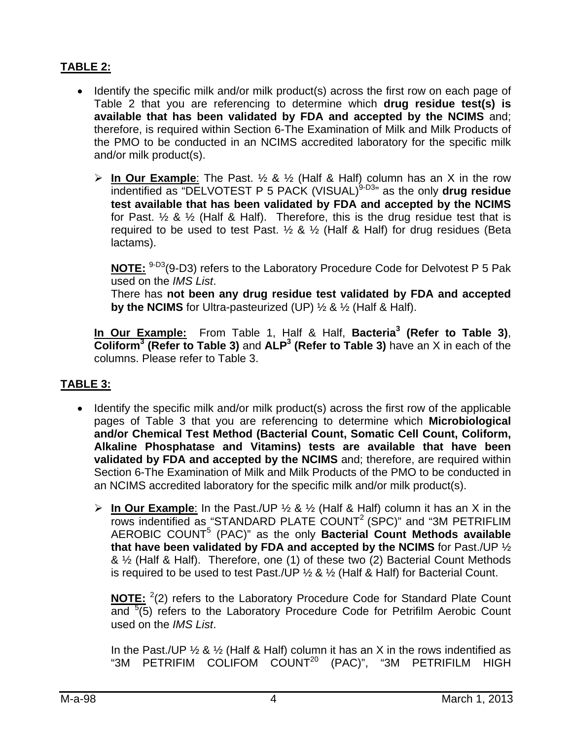## **TABLE 2:**

- Identify the specific milk and/or milk product(s) across the first row on each page of Table 2 that you are referencing to determine which **drug residue test(s) is available that has been validated by FDA and accepted by the NCIMS** and; therefore, is required within Section 6-The Examination of Milk and Milk Products of the PMO to be conducted in an NCIMS accredited laboratory for the specific milk and/or milk product(s).
	- **In Our Example**: The Past. ½ & ½ (Half & Half) column has an X in the row indentified as "DELVOTEST P 5 PACK (VISUAL)<sup>9-D3</sup>" as the only drug residue **test available that has been validated by FDA and accepted by the NCIMS** for Past.  $\frac{1}{2}$  &  $\frac{1}{2}$  (Half & Half). Therefore, this is the drug residue test that is required to be used to test Past.  $\frac{1}{2}$  &  $\frac{1}{2}$  (Half & Half) for drug residues (Beta lactams).

**NOTE:** 9-D3(9-D3) refers to the Laboratory Procedure Code for Delvotest P 5 Pak used on the *IMS List*.

There has **not been any drug residue test validated by FDA and accepted by the NCIMS** for Ultra-pasteurized (UP) ½ & ½ (Half & Half).

**In Our Example:** From Table 1, Half & Half, **Bacteria3 (Refer to Table 3)**, **Coliform<sup>3</sup>** (Refer to Table 3) and ALP<sup>3</sup> (Refer to Table 3) have an X in each of the columns. Please refer to Table 3.

#### **TABLE 3:**

- Identify the specific milk and/or milk product(s) across the first row of the applicable pages of Table 3 that you are referencing to determine which **Microbiological and/or Chemical Test Method (Bacterial Count, Somatic Cell Count, Coliform, Alkaline Phosphatase and Vitamins) tests are available that have been validated by FDA and accepted by the NCIMS** and; therefore, are required within Section 6-The Examination of Milk and Milk Products of the PMO to be conducted in an NCIMS accredited laboratory for the specific milk and/or milk product(s).
	- **In Our Example**: In the Past./UP ½ & ½ (Half & Half) column it has an X in the rows indentified as "STANDARD PLATE COUNT<sup>2</sup> (SPC)" and "3M PETRIFLIM AEROBIC COUNT<sup>5</sup> (PAC)" as the only **Bacterial Count Methods available that have been validated by FDA and accepted by the NCIMS** for Past./UP ½ & ½ (Half & Half). Therefore, one (1) of these two (2) Bacterial Count Methods is required to be used to test Past./UP  $\frac{1}{2}$  &  $\frac{1}{2}$  (Half & Half) for Bacterial Count.

NOTE: <sup>2</sup>(2) refers to the Laboratory Procedure Code for Standard Plate Count and  $5(5)$  refers to the Laboratory Procedure Code for Petrifilm Aerobic Count used on the *IMS List*.

In the Past./UP  $\frac{1}{2}$  &  $\frac{1}{2}$  (Half & Half) column it has an X in the rows indentified as "3M PETRIFIM COLIFOM COUNT<sup>20</sup> (PAC)", "3M PETRIFILM HIGH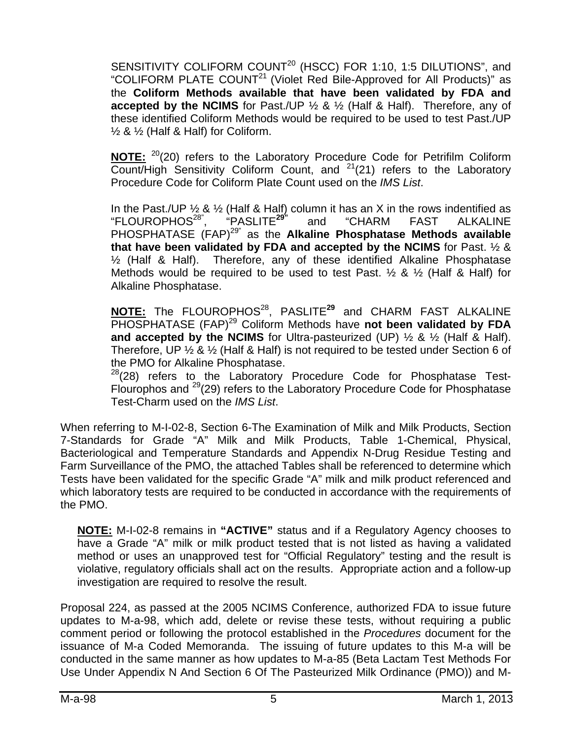SENSITIVITY COLIFORM COUNT<sup>20</sup> (HSCC) FOR 1:10, 1:5 DILUTIONS", and "COLIFORM PLATE COUNT<sup>21</sup> (Violet Red Bile-Approved for All Products)" as the **Coliform Methods available that have been validated by FDA and accepted by the NCIMS** for Past./UP ½ & ½ (Half & Half). Therefore, any of these identified Coliform Methods would be required to be used to test Past./UP  $\frac{1}{2}$  &  $\frac{1}{2}$  (Half & Half) for Coliform.

**NOTE:** 20(20) refers to the Laboratory Procedure Code for Petrifilm Coliform Count/High Sensitivity Coliform Count, and  $2^{1}(21)$  refers to the Laboratory Procedure Code for Coliform Plate Count used on the *IMS List*.

In the Past./UP  $\frac{1}{2}$  &  $\frac{1}{2}$  (Half & Half) column it has an X in the rows indentified as "FLOUROPHOS28", "PASLITE**29"** and "CHARM FAST ALKALINE PHOSPHATASE (FAP)29" as the **Alkaline Phosphatase Methods available that have been validated by FDA and accepted by the NCIMS** for Past. ½ & ½ (Half & Half). Therefore, any of these identified Alkaline Phosphatase Methods would be required to be used to test Past.  $\frac{1}{2}$  &  $\frac{1}{2}$  (Half & Half) for Alkaline Phosphatase.

**NOTE:** The FLOUROPHOS28, PASLITE**<sup>29</sup>** and CHARM FAST ALKALINE PHOSPHATASE (FAP)29 Coliform Methods have **not been validated by FDA and accepted by the NCIMS** for Ultra-pasteurized (UP) ½ & ½ (Half & Half). Therefore, UP ½ & ½ (Half & Half) is not required to be tested under Section 6 of the PMO for Alkaline Phosphatase.

 $^{28}$ (28) refers to the Laboratory Procedure Code for Phosphatase Test-Flourophos and 29(29) refers to the Laboratory Procedure Code for Phosphatase Test-Charm used on the *IMS List*.

When referring to M-I-02-8, Section 6-The Examination of Milk and Milk Products, Section 7-Standards for Grade "A" Milk and Milk Products, Table 1-Chemical, Physical, Bacteriological and Temperature Standards and Appendix N-Drug Residue Testing and Farm Surveillance of the PMO, the attached Tables shall be referenced to determine which Tests have been validated for the specific Grade "A" milk and milk product referenced and which laboratory tests are required to be conducted in accordance with the requirements of the PMO.

**NOTE:** M-I-02-8 remains in **"ACTIVE"** status and if a Regulatory Agency chooses to have a Grade "A" milk or milk product tested that is not listed as having a validated method or uses an unapproved test for "Official Regulatory" testing and the result is violative, regulatory officials shall act on the results. Appropriate action and a follow-up investigation are required to resolve the result.

Proposal 224, as passed at the 2005 NCIMS Conference, authorized FDA to issue future updates to M-a-98, which add, delete or revise these tests, without requiring a public comment period or following the protocol established in the *Procedures* document for the issuance of M-a Coded Memoranda. The issuing of future updates to this M-a will be conducted in the same manner as how updates to M-a-85 (Beta Lactam Test Methods For Use Under Appendix N And Section 6 Of The Pasteurized Milk Ordinance (PMO)) and M-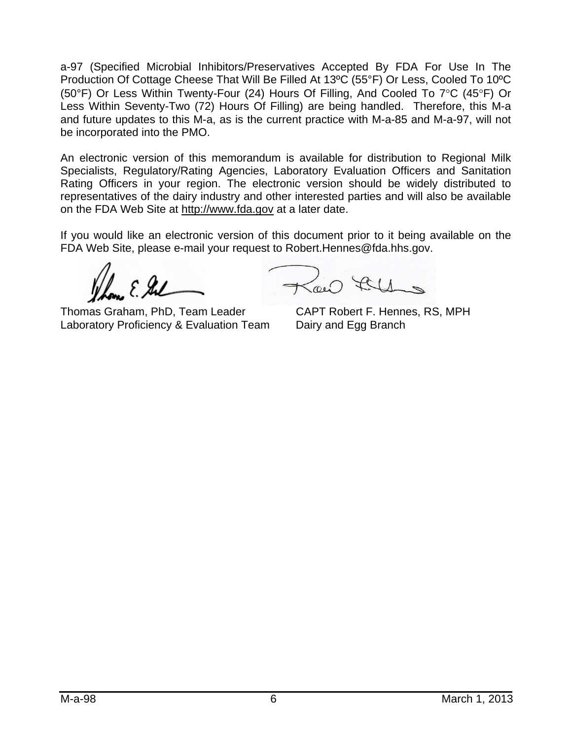a-97 (Specified Microbial Inhibitors/Preservatives Accepted By FDA For Use In The Production Of Cottage Cheese That Will Be Filled At 13ºC (55°F) Or Less, Cooled To 10ºC (50°F) Or Less Within Twenty-Four (24) Hours Of Filling, And Cooled To  $7^{\circ}$ C (45°F) Or Less Within Seventy-Two (72) Hours Of Filling) are being handled. Therefore, this M-a and future updates to this M-a, as is the current practice with M-a-85 and M-a-97, will not be incorporated into the PMO.

An electronic version of this memorandum is available for distribution to Regional Milk Specialists, Regulatory/Rating Agencies, Laboratory Evaluation Officers and Sanitation Rating Officers in your region. The electronic version should be widely distributed to representatives of the dairy industry and other interested parties and will also be available on the FDA Web Site at http://www.fda.gov at a later date.

If you would like an electronic version of this document prior to it being available on the FDA Web Site, please e-mail your request to Robert.Hennes@fda.hhs.gov.

 $22$ 

Thomas Graham, PhD, Team Leader CAPT Robert F. Hennes, RS, MPH Laboratory Proficiency & Evaluation Team Dairy and Egg Branch

 $\sim 144$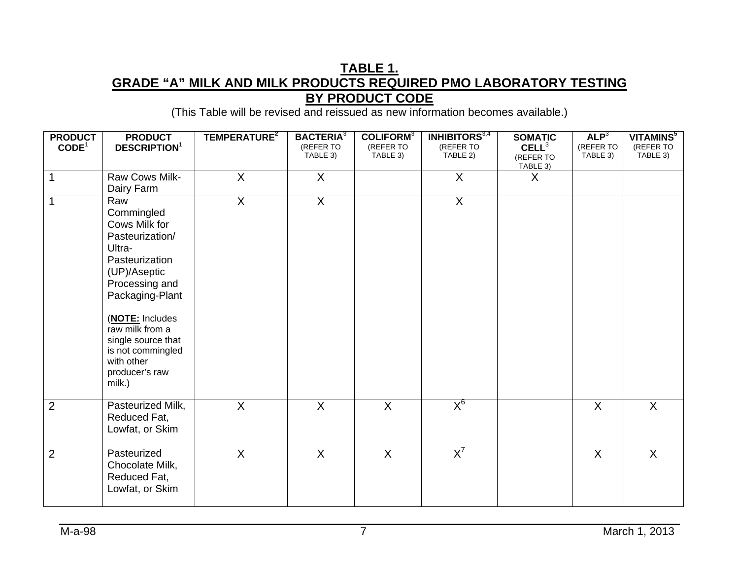### **TABLE 1. GRADE "A" MILK AND MILK PRODUCTS REQUIRED PMO LABORATORY TESTING BY PRODUCT CODE**

| <b>PRODUCT</b>    | <b>PRODUCT</b>                                                                                                                                                                                                                                                    | TEMPERATURE <sup>2</sup> | <b>BACTERIA</b> <sup>3</sup><br>(REFER TO | <b>COLIFORM</b> <sup>3</sup><br>(REFER TO | <b>INHIBITORS</b> <sup>3,4</sup><br>(REFER TO | <b>SOMATIC</b>                             | ALP <sup>3</sup><br>(REFER TO | VITAMINS <sup>5</sup><br>(REFER TO |
|-------------------|-------------------------------------------------------------------------------------------------------------------------------------------------------------------------------------------------------------------------------------------------------------------|--------------------------|-------------------------------------------|-------------------------------------------|-----------------------------------------------|--------------------------------------------|-------------------------------|------------------------------------|
| CODE <sup>1</sup> | <b>DESCRIPTION</b> <sup>1</sup>                                                                                                                                                                                                                                   |                          | TABLE 3)                                  | TABLE 3)                                  | TABLE 2)                                      | CELL <sup>3</sup><br>(REFER TO<br>TABLE 3) | TABLE 3)                      | TABLE 3)                           |
| 1                 | Raw Cows Milk-<br>Dairy Farm                                                                                                                                                                                                                                      | X                        | X                                         |                                           | X                                             | X                                          |                               |                                    |
| 1                 | Raw<br>Commingled<br>Cows Milk for<br>Pasteurization/<br>Ultra-<br>Pasteurization<br>(UP)/Aseptic<br>Processing and<br>Packaging-Plant<br>(NOTE: Includes<br>raw milk from a<br>single source that<br>is not commingled<br>with other<br>producer's raw<br>milk.) | $\mathsf{X}$             | $\overline{X}$                            |                                           | $\sf X$                                       |                                            |                               |                                    |
| $\overline{2}$    | Pasteurized Milk,<br>Reduced Fat,<br>Lowfat, or Skim                                                                                                                                                                                                              | X                        | $\overline{X}$                            | $\sf X$                                   | $X_0$                                         |                                            | $\sf X$                       | $\sf X$                            |
| $\overline{2}$    | Pasteurized<br>Chocolate Milk,<br>Reduced Fat,<br>Lowfat, or Skim                                                                                                                                                                                                 | $\overline{\mathsf{x}}$  | $\sf X$                                   | $\sf X$                                   | $X^7$                                         |                                            | $\sf X$                       | $\mathsf{X}$                       |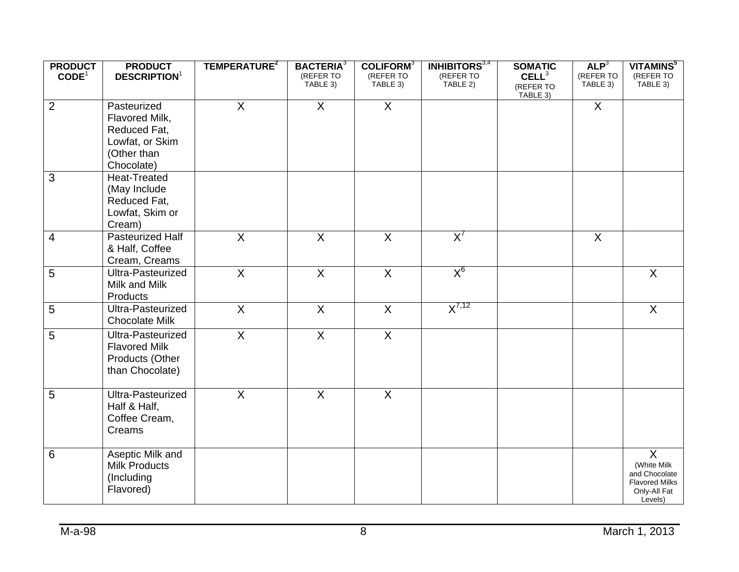| <b>PRODUCT</b>    | <b>PRODUCT</b>                  | TEMPERATURE <sup>2</sup> | <b>BACTERIA</b> <sup>3</sup> | <b>COLIFORM</b> <sup>3</sup> | <b>INHIBITORS</b> <sup>3,4</sup> | <b>SOMATIC</b>        | ALP <sup>3</sup>      | VITAMINS <sup>5</sup>                  |
|-------------------|---------------------------------|--------------------------|------------------------------|------------------------------|----------------------------------|-----------------------|-----------------------|----------------------------------------|
| CODE <sup>1</sup> | <b>DESCRIPTION</b> <sup>1</sup> |                          | (REFER TO<br>TABLE 3)        | (REFER TO<br>TABLE 3)        | (REFER TO<br>TABLE 2)            | CELL <sup>3</sup>     | (REFER TO<br>TABLE 3) | (REFER TO<br>TABLE 3)                  |
|                   |                                 |                          |                              |                              |                                  | (REFER TO<br>TABLE 3) |                       |                                        |
| $\overline{2}$    | Pasteurized                     | $\overline{X}$           | $\overline{X}$               | $\overline{X}$               |                                  |                       | $\sf X$               |                                        |
|                   | Flavored Milk,                  |                          |                              |                              |                                  |                       |                       |                                        |
|                   | Reduced Fat,                    |                          |                              |                              |                                  |                       |                       |                                        |
|                   | Lowfat, or Skim                 |                          |                              |                              |                                  |                       |                       |                                        |
|                   | (Other than                     |                          |                              |                              |                                  |                       |                       |                                        |
|                   | Chocolate)                      |                          |                              |                              |                                  |                       |                       |                                        |
| 3                 | <b>Heat-Treated</b>             |                          |                              |                              |                                  |                       |                       |                                        |
|                   | (May Include                    |                          |                              |                              |                                  |                       |                       |                                        |
|                   | Reduced Fat,                    |                          |                              |                              |                                  |                       |                       |                                        |
|                   | Lowfat, Skim or                 |                          |                              |                              |                                  |                       |                       |                                        |
|                   | Cream)                          |                          |                              |                              |                                  |                       |                       |                                        |
| $\overline{4}$    | <b>Pasteurized Half</b>         | $\overline{X}$           | $\overline{X}$               | $\overline{X}$               | $X^7$                            |                       | $\sf X$               |                                        |
|                   | & Half, Coffee                  |                          |                              |                              |                                  |                       |                       |                                        |
|                   | Cream, Creams                   |                          |                              |                              |                                  |                       |                       |                                        |
| 5                 | Ultra-Pasteurized               | $\overline{X}$           | $\overline{X}$               | $\mathsf{X}$                 | $X^6$                            |                       |                       | $\mathsf{X}$                           |
|                   | Milk and Milk                   |                          |                              |                              |                                  |                       |                       |                                        |
|                   | Products                        |                          |                              |                              | $X^{7,12}$                       |                       |                       |                                        |
| 5                 | Ultra-Pasteurized               | $\overline{X}$           | $\overline{\mathsf{X}}$      | $\overline{X}$               |                                  |                       |                       | $\overline{X}$                         |
|                   | <b>Chocolate Milk</b>           |                          |                              |                              |                                  |                       |                       |                                        |
| 5                 | Ultra-Pasteurized               | $\overline{X}$           | $\overline{X}$               | $\overline{X}$               |                                  |                       |                       |                                        |
|                   | <b>Flavored Milk</b>            |                          |                              |                              |                                  |                       |                       |                                        |
|                   | Products (Other                 |                          |                              |                              |                                  |                       |                       |                                        |
|                   | than Chocolate)                 |                          |                              |                              |                                  |                       |                       |                                        |
| $\overline{5}$    | Ultra-Pasteurized               | $\overline{X}$           | $\overline{X}$               | $\overline{X}$               |                                  |                       |                       |                                        |
|                   | Half & Half,                    |                          |                              |                              |                                  |                       |                       |                                        |
|                   | Coffee Cream,                   |                          |                              |                              |                                  |                       |                       |                                        |
|                   | Creams                          |                          |                              |                              |                                  |                       |                       |                                        |
|                   |                                 |                          |                              |                              |                                  |                       |                       |                                        |
| 6                 | Aseptic Milk and                |                          |                              |                              |                                  |                       |                       | $\mathsf{X}$                           |
|                   | <b>Milk Products</b>            |                          |                              |                              |                                  |                       |                       | (White Milk                            |
|                   | (Including                      |                          |                              |                              |                                  |                       |                       | and Chocolate<br><b>Flavored Milks</b> |
|                   | Flavored)                       |                          |                              |                              |                                  |                       |                       | Only-All Fat                           |
|                   |                                 |                          |                              |                              |                                  |                       |                       | Levels)                                |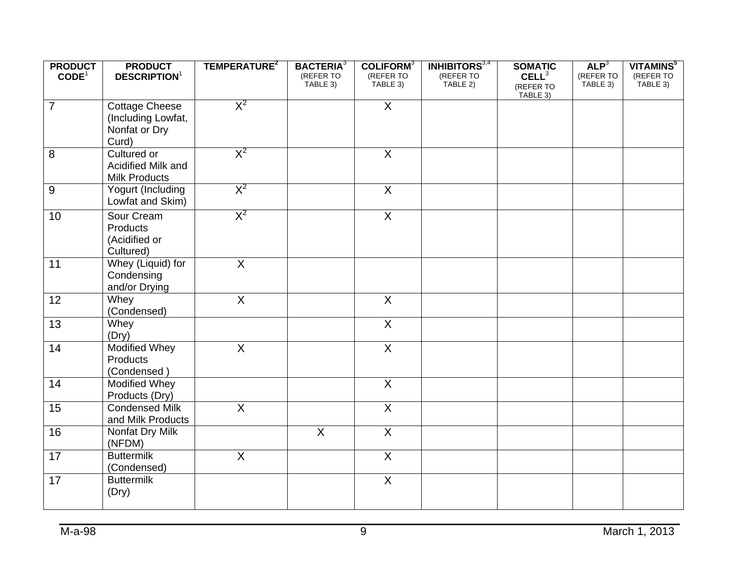| <b>PRODUCT</b>    | <b>PRODUCT</b>                  | TEMPERATURE <sup>2</sup> | <b>BACTERIA</b> <sup>3</sup> | COLIFORM <sup>3</sup>   | <b>INHIBITORS</b> <sup>3,4</sup> | <b>SOMATIC</b>    | ALP <sup>3</sup> | VITAMINS <sup>5</sup> |
|-------------------|---------------------------------|--------------------------|------------------------------|-------------------------|----------------------------------|-------------------|------------------|-----------------------|
| CODE <sup>1</sup> | <b>DESCRIPTION</b> <sup>1</sup> |                          | (REFER TO                    | (REFER TO               | (REFER TO                        | CELL <sup>3</sup> | (REFER TO        | (REFER TO             |
|                   |                                 |                          | TABLE 3)                     | TABLE 3)                | TABLE 2)                         | (REFER TO         | TABLE 3)         | TABLE 3)              |
|                   |                                 |                          |                              |                         |                                  | TABLE 3)          |                  |                       |
| $\overline{7}$    | <b>Cottage Cheese</b>           | $X^2$                    |                              | $\overline{X}$          |                                  |                   |                  |                       |
|                   | (Including Lowfat,              |                          |                              |                         |                                  |                   |                  |                       |
|                   | Nonfat or Dry                   |                          |                              |                         |                                  |                   |                  |                       |
|                   | Curd)                           |                          |                              |                         |                                  |                   |                  |                       |
| 8                 | Cultured or                     | $X^2$                    |                              | $\mathsf{X}$            |                                  |                   |                  |                       |
|                   | Acidified Milk and              |                          |                              |                         |                                  |                   |                  |                       |
|                   | <b>Milk Products</b>            |                          |                              |                         |                                  |                   |                  |                       |
| 9                 | Yogurt (Including               | $X^2$                    |                              | $\overline{X}$          |                                  |                   |                  |                       |
|                   | Lowfat and Skim)                |                          |                              |                         |                                  |                   |                  |                       |
|                   |                                 |                          |                              |                         |                                  |                   |                  |                       |
| 10                | Sour Cream                      | $X^2$                    |                              | $\overline{X}$          |                                  |                   |                  |                       |
|                   | Products                        |                          |                              |                         |                                  |                   |                  |                       |
|                   | (Acidified or                   |                          |                              |                         |                                  |                   |                  |                       |
|                   | Cultured)                       |                          |                              |                         |                                  |                   |                  |                       |
| 11                | Whey (Liquid) for               | $\overline{X}$           |                              |                         |                                  |                   |                  |                       |
|                   | Condensing                      |                          |                              |                         |                                  |                   |                  |                       |
|                   | and/or Drying                   |                          |                              |                         |                                  |                   |                  |                       |
| 12                | Whey                            | $\overline{X}$           |                              | $\overline{X}$          |                                  |                   |                  |                       |
|                   | (Condensed)                     |                          |                              |                         |                                  |                   |                  |                       |
| 13                | Whey                            |                          |                              | $\overline{X}$          |                                  |                   |                  |                       |
|                   | (Dry)                           |                          |                              |                         |                                  |                   |                  |                       |
| 14                | <b>Modified Whey</b>            | $\overline{X}$           |                              | $\overline{X}$          |                                  |                   |                  |                       |
|                   | Products                        |                          |                              |                         |                                  |                   |                  |                       |
|                   | (Condensed)                     |                          |                              |                         |                                  |                   |                  |                       |
| 14                | <b>Modified Whey</b>            |                          |                              | $\overline{X}$          |                                  |                   |                  |                       |
|                   | Products (Dry)                  |                          |                              |                         |                                  |                   |                  |                       |
|                   |                                 |                          |                              |                         |                                  |                   |                  |                       |
| 15                | <b>Condensed Milk</b>           | $\overline{X}$           |                              | $\overline{X}$          |                                  |                   |                  |                       |
|                   | and Milk Products               |                          |                              |                         |                                  |                   |                  |                       |
| 16                | Nonfat Dry Milk                 |                          | $\overline{X}$               | $\overline{X}$          |                                  |                   |                  |                       |
|                   | (NFDM)                          |                          |                              |                         |                                  |                   |                  |                       |
| 17                | <b>Buttermilk</b>               | $\overline{X}$           |                              | $\overline{X}$          |                                  |                   |                  |                       |
|                   | (Condensed)                     |                          |                              |                         |                                  |                   |                  |                       |
| 17                | <b>Buttermilk</b>               |                          |                              | $\overline{\mathsf{X}}$ |                                  |                   |                  |                       |
|                   | (Dry)                           |                          |                              |                         |                                  |                   |                  |                       |
|                   |                                 |                          |                              |                         |                                  |                   |                  |                       |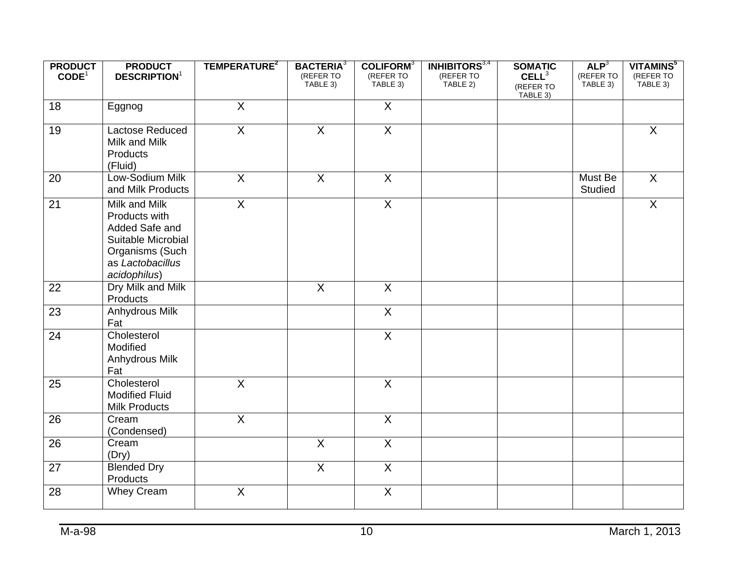| <b>PRODUCT</b><br>CODE <sup>1</sup> | <b>PRODUCT</b><br><b>DESCRIPTION</b> <sup>1</sup>                                                                             | TEMPERATURE <sup>2</sup> | <b>BACTERIA</b> <sup>3</sup><br>(REFER TO | COLIFORM <sup>3</sup><br>(REFER TO | <b>INHIBITORS</b> <sup>3,4</sup><br>(REFER TO | <b>SOMATIC</b><br>CELL <sup>3</sup> | ALP <sup>3</sup><br>(REFER TO | VITAMINS <sup>5</sup><br>(REFER TO |
|-------------------------------------|-------------------------------------------------------------------------------------------------------------------------------|--------------------------|-------------------------------------------|------------------------------------|-----------------------------------------------|-------------------------------------|-------------------------------|------------------------------------|
|                                     |                                                                                                                               |                          | TABLE 3)                                  | TABLE 3)                           | TABLE 2)                                      | (REFER TO<br>TABLE 3)               | TABLE 3)                      | TABLE 3)                           |
| 18                                  | Eggnog                                                                                                                        | $\overline{X}$           |                                           | $\overline{X}$                     |                                               |                                     |                               |                                    |
| 19                                  | Lactose Reduced<br>Milk and Milk<br>Products<br>(Fluid)                                                                       | $\overline{X}$           | $\overline{X}$                            | $\overline{X}$                     |                                               |                                     |                               | $\overline{X}$                     |
| 20                                  | Low-Sodium Milk<br>and Milk Products                                                                                          | $\overline{X}$           | $\overline{X}$                            | $\mathsf{X}$                       |                                               |                                     | Must Be<br><b>Studied</b>     | $\mathsf{X}$                       |
| $\overline{21}$                     | Milk and Milk<br>Products with<br>Added Safe and<br>Suitable Microbial<br>Organisms (Such<br>as Lactobacillus<br>acidophilus) | $\overline{X}$           |                                           | $\overline{X}$                     |                                               |                                     |                               | $\overline{X}$                     |
| 22                                  | Dry Milk and Milk<br>Products                                                                                                 |                          | $\overline{X}$                            | $\overline{X}$                     |                                               |                                     |                               |                                    |
| 23                                  | Anhydrous Milk<br>Fat                                                                                                         |                          |                                           | $\overline{X}$                     |                                               |                                     |                               |                                    |
| 24                                  | Cholesterol<br>Modified<br>Anhydrous Milk<br>Fat                                                                              |                          |                                           | $\overline{X}$                     |                                               |                                     |                               |                                    |
| 25                                  | Cholesterol<br><b>Modified Fluid</b><br><b>Milk Products</b>                                                                  | $\overline{X}$           |                                           | $\sf X$                            |                                               |                                     |                               |                                    |
| 26                                  | Cream<br>(Condensed)                                                                                                          | $\overline{X}$           |                                           | $\overline{X}$                     |                                               |                                     |                               |                                    |
| 26                                  | Cream<br>(Dry)                                                                                                                |                          | $\overline{X}$                            | $\overline{X}$                     |                                               |                                     |                               |                                    |
| 27                                  | <b>Blended Dry</b><br>Products                                                                                                |                          | $\overline{X}$                            | $\mathsf{X}$                       |                                               |                                     |                               |                                    |
| 28                                  | <b>Whey Cream</b>                                                                                                             | $\mathsf X$              |                                           | $\sf X$                            |                                               |                                     |                               |                                    |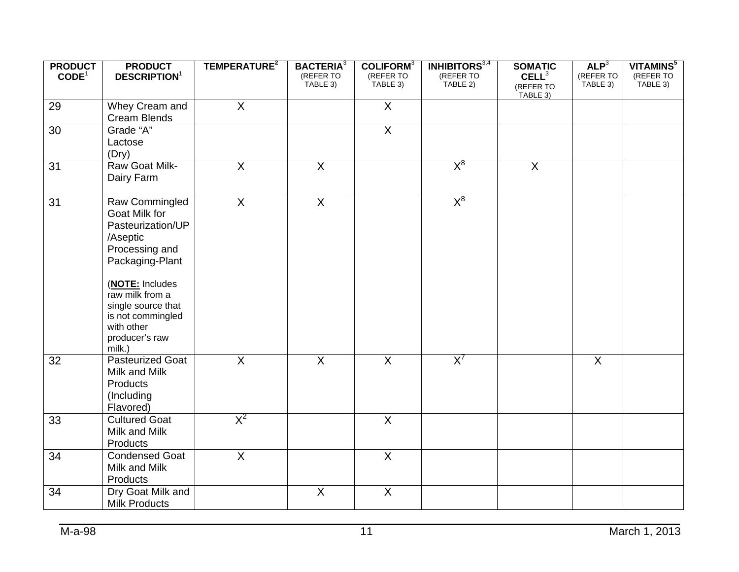| <b>PRODUCT</b><br>CODE <sup>1</sup> | <b>PRODUCT</b><br><b>DESCRIPTION</b> <sup>1</sup>                                                                                                                                                                                | TEMPERATURE <sup>2</sup> | <b>BACTERIA</b> <sup>3</sup><br>(REFER TO<br>TABLE 3) | COLIFORM <sup>3</sup><br>(REFER TO | <b>INHIBITORS</b> <sup>3,4</sup><br>(REFER TO<br>TABLE 2) | <b>SOMATIC</b><br>CELL <sup>3</sup> | ALP <sup>3</sup><br>(REFER TO | VITAMINS <sup>5</sup><br>(REFER TO<br>TABLE 3) |
|-------------------------------------|----------------------------------------------------------------------------------------------------------------------------------------------------------------------------------------------------------------------------------|--------------------------|-------------------------------------------------------|------------------------------------|-----------------------------------------------------------|-------------------------------------|-------------------------------|------------------------------------------------|
|                                     |                                                                                                                                                                                                                                  |                          |                                                       | TABLE 3)                           |                                                           | (REFER TO<br>TABLE 3)               | TABLE 3)                      |                                                |
| 29                                  | Whey Cream and<br>Cream Blends                                                                                                                                                                                                   | $\overline{X}$           |                                                       | $\overline{X}$                     |                                                           |                                     |                               |                                                |
| 30                                  | Grade "A"<br>Lactose<br>(Dry)                                                                                                                                                                                                    |                          |                                                       | $\overline{X}$                     |                                                           |                                     |                               |                                                |
| 31                                  | Raw Goat Milk-<br>Dairy Farm                                                                                                                                                                                                     | $\sf X$                  | $\sf X$                                               |                                    | $X^8$                                                     | $\overline{X}$                      |                               |                                                |
| 31                                  | Raw Commingled<br>Goat Milk for<br>Pasteurization/UP<br>/Aseptic<br>Processing and<br>Packaging-Plant<br>(NOTE: Includes<br>raw milk from a<br>single source that<br>is not commingled<br>with other<br>producer's raw<br>milk.) | $\overline{X}$           | $\overline{X}$                                        |                                    | $X^8$                                                     |                                     |                               |                                                |
| 32                                  | <b>Pasteurized Goat</b><br>Milk and Milk<br>Products<br>(Including<br>Flavored)                                                                                                                                                  | $\overline{X}$           | $\overline{X}$                                        | $\overline{X}$                     | $X^7$                                                     |                                     | $\overline{X}$                |                                                |
| 33                                  | <b>Cultured Goat</b><br>Milk and Milk<br>Products                                                                                                                                                                                | $X^2$                    |                                                       | $\overline{X}$                     |                                                           |                                     |                               |                                                |
| 34                                  | <b>Condensed Goat</b><br>Milk and Milk<br>Products                                                                                                                                                                               | $\overline{X}$           |                                                       | $\overline{X}$                     |                                                           |                                     |                               |                                                |
| 34                                  | Dry Goat Milk and<br><b>Milk Products</b>                                                                                                                                                                                        |                          | $\overline{X}$                                        | $\overline{X}$                     |                                                           |                                     |                               |                                                |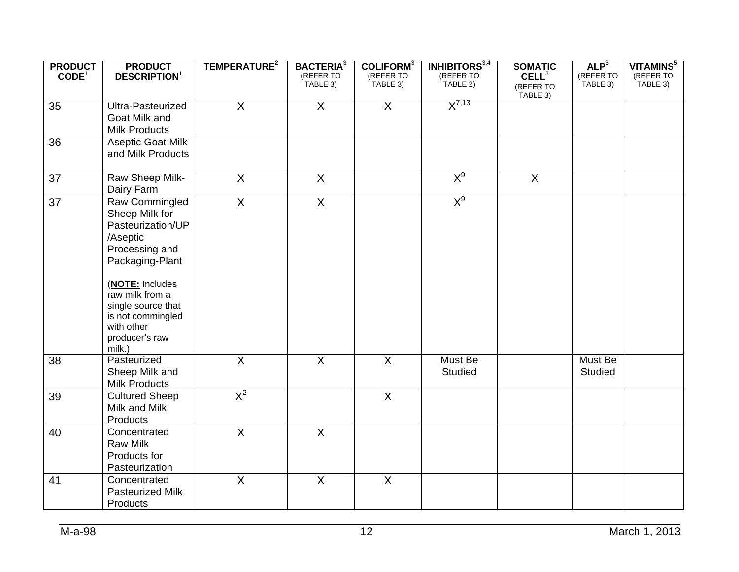| TABLE 3)<br>TABLE 3)<br>TABLE 3)<br>TABLE 2)<br>TABLE 3)<br>(REFER TO<br>TABLE 3)<br>$X^{7,13}$<br>$\overline{X}$<br>$\overline{X}$<br>$\overline{X}$<br>35<br>Ultra-Pasteurized<br>Goat Milk and<br><b>Milk Products</b><br>36<br><b>Aseptic Goat Milk</b><br>and Milk Products<br>$X^9$<br>$\overline{X}$<br>$\overline{X}$<br>$\overline{X}$<br>37<br>Raw Sheep Milk- | <b>PRODUCT</b>    | <b>PRODUCT</b>                  | TEMPERATURE <sup>2</sup> | <b>BACTERIA</b> <sup>3</sup> | COLIFORM <sup>3</sup> | <b>INHIBITORS</b> <sup>3,4</sup> | <b>SOMATIC</b> | ALP <sup>3</sup> | VITAMINS <sup>5</sup> |
|--------------------------------------------------------------------------------------------------------------------------------------------------------------------------------------------------------------------------------------------------------------------------------------------------------------------------------------------------------------------------|-------------------|---------------------------------|--------------------------|------------------------------|-----------------------|----------------------------------|----------------|------------------|-----------------------|
|                                                                                                                                                                                                                                                                                                                                                                          | CODE <sup>1</sup> | <b>DESCRIPTION</b> <sup>1</sup> |                          | (REFER TO                    | (REFER TO             | (REFER TO                        | $CELL^3$       | (REFER TO        | (REFER TO             |
|                                                                                                                                                                                                                                                                                                                                                                          |                   |                                 |                          |                              |                       |                                  |                |                  |                       |
|                                                                                                                                                                                                                                                                                                                                                                          |                   |                                 |                          |                              |                       |                                  |                |                  |                       |
|                                                                                                                                                                                                                                                                                                                                                                          |                   |                                 |                          |                              |                       |                                  |                |                  |                       |
|                                                                                                                                                                                                                                                                                                                                                                          |                   |                                 |                          |                              |                       |                                  |                |                  |                       |
|                                                                                                                                                                                                                                                                                                                                                                          |                   |                                 |                          |                              |                       |                                  |                |                  |                       |
|                                                                                                                                                                                                                                                                                                                                                                          |                   |                                 |                          |                              |                       |                                  |                |                  |                       |
|                                                                                                                                                                                                                                                                                                                                                                          |                   |                                 |                          |                              |                       |                                  |                |                  |                       |
|                                                                                                                                                                                                                                                                                                                                                                          |                   |                                 |                          |                              |                       |                                  |                |                  |                       |
|                                                                                                                                                                                                                                                                                                                                                                          |                   |                                 |                          |                              |                       |                                  |                |                  |                       |
|                                                                                                                                                                                                                                                                                                                                                                          |                   | Dairy Farm                      |                          |                              |                       |                                  |                |                  |                       |
| X <sup>9</sup><br>$\overline{X}$<br>$\overline{X}$<br>37<br>Raw Commingled                                                                                                                                                                                                                                                                                               |                   |                                 |                          |                              |                       |                                  |                |                  |                       |
| Sheep Milk for                                                                                                                                                                                                                                                                                                                                                           |                   |                                 |                          |                              |                       |                                  |                |                  |                       |
| Pasteurization/UP                                                                                                                                                                                                                                                                                                                                                        |                   |                                 |                          |                              |                       |                                  |                |                  |                       |
| /Aseptic                                                                                                                                                                                                                                                                                                                                                                 |                   |                                 |                          |                              |                       |                                  |                |                  |                       |
| Processing and                                                                                                                                                                                                                                                                                                                                                           |                   |                                 |                          |                              |                       |                                  |                |                  |                       |
| Packaging-Plant                                                                                                                                                                                                                                                                                                                                                          |                   |                                 |                          |                              |                       |                                  |                |                  |                       |
|                                                                                                                                                                                                                                                                                                                                                                          |                   |                                 |                          |                              |                       |                                  |                |                  |                       |
| (NOTE: Includes                                                                                                                                                                                                                                                                                                                                                          |                   |                                 |                          |                              |                       |                                  |                |                  |                       |
| raw milk from a                                                                                                                                                                                                                                                                                                                                                          |                   |                                 |                          |                              |                       |                                  |                |                  |                       |
| single source that                                                                                                                                                                                                                                                                                                                                                       |                   |                                 |                          |                              |                       |                                  |                |                  |                       |
| is not commingled                                                                                                                                                                                                                                                                                                                                                        |                   |                                 |                          |                              |                       |                                  |                |                  |                       |
| with other                                                                                                                                                                                                                                                                                                                                                               |                   |                                 |                          |                              |                       |                                  |                |                  |                       |
| producer's raw                                                                                                                                                                                                                                                                                                                                                           |                   |                                 |                          |                              |                       |                                  |                |                  |                       |
| milk.)                                                                                                                                                                                                                                                                                                                                                                   |                   |                                 |                          |                              |                       |                                  |                |                  |                       |
| $\overline{X}$<br>$\overline{X}$<br>$\overline{X}$<br>Pasteurized<br>Must Be<br>Must Be<br>38                                                                                                                                                                                                                                                                            |                   |                                 |                          |                              |                       |                                  |                |                  |                       |
| Sheep Milk and<br>Studied<br>Studied                                                                                                                                                                                                                                                                                                                                     |                   |                                 |                          |                              |                       |                                  |                |                  |                       |
| <b>Milk Products</b>                                                                                                                                                                                                                                                                                                                                                     |                   |                                 |                          |                              |                       |                                  |                |                  |                       |
| $X^2$<br>$\overline{X}$<br><b>Cultured Sheep</b><br>39                                                                                                                                                                                                                                                                                                                   |                   |                                 |                          |                              |                       |                                  |                |                  |                       |
| Milk and Milk                                                                                                                                                                                                                                                                                                                                                            |                   |                                 |                          |                              |                       |                                  |                |                  |                       |
| Products                                                                                                                                                                                                                                                                                                                                                                 |                   |                                 |                          |                              |                       |                                  |                |                  |                       |
| $\overline{X}$<br>$\overline{X}$<br>40<br>Concentrated                                                                                                                                                                                                                                                                                                                   |                   |                                 |                          |                              |                       |                                  |                |                  |                       |
| <b>Raw Milk</b>                                                                                                                                                                                                                                                                                                                                                          |                   |                                 |                          |                              |                       |                                  |                |                  |                       |
| Products for                                                                                                                                                                                                                                                                                                                                                             |                   |                                 |                          |                              |                       |                                  |                |                  |                       |
| Pasteurization                                                                                                                                                                                                                                                                                                                                                           |                   |                                 |                          |                              |                       |                                  |                |                  |                       |
| $\overline{X}$<br>$\mathsf{X}$<br>$\sf X$<br>41<br>Concentrated                                                                                                                                                                                                                                                                                                          |                   |                                 |                          |                              |                       |                                  |                |                  |                       |
| Pasteurized Milk                                                                                                                                                                                                                                                                                                                                                         |                   |                                 |                          |                              |                       |                                  |                |                  |                       |
| Products                                                                                                                                                                                                                                                                                                                                                                 |                   |                                 |                          |                              |                       |                                  |                |                  |                       |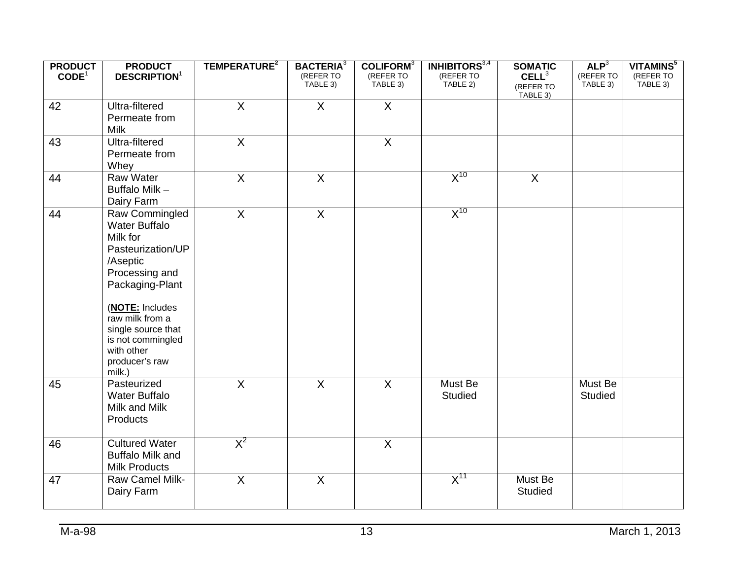| <b>PRODUCT</b>    | <b>PRODUCT</b>                                   | TEMPERATURE <sup>2</sup> | <b>BACTERIA</b> <sup>3</sup> | COLIFORM <sup>3</sup> | <b>INHIBITORS</b> <sup>3,4</sup> | <b>SOMATIC</b>                 | ALP <sup>3</sup>      | VITAMINS <sup>5</sup> |
|-------------------|--------------------------------------------------|--------------------------|------------------------------|-----------------------|----------------------------------|--------------------------------|-----------------------|-----------------------|
| CODE <sup>1</sup> | <b>DESCRIPTION</b> <sup>1</sup>                  |                          | (REFER TO<br>TABLE 3)        | (REFER TO<br>TABLE 3) | (REFER TO<br>TABLE 2)            | CELL <sup>3</sup><br>(REFER TO | (REFER TO<br>TABLE 3) | (REFER TO<br>TABLE 3) |
|                   |                                                  |                          |                              |                       |                                  | TABLE 3)                       |                       |                       |
| 42                | Ultra-filtered                                   | $\overline{X}$           | $\overline{X}$               | $\overline{X}$        |                                  |                                |                       |                       |
|                   | Permeate from<br><b>Milk</b>                     |                          |                              |                       |                                  |                                |                       |                       |
| 43                | Ultra-filtered                                   | $\overline{X}$           |                              | $\overline{X}$        |                                  |                                |                       |                       |
|                   | Permeate from                                    |                          |                              |                       |                                  |                                |                       |                       |
|                   | Whey                                             |                          |                              |                       |                                  |                                |                       |                       |
| 44                | Raw Water                                        | $\mathsf{X}$             | $\overline{X}$               |                       | $X^{10}$                         | $\overline{X}$                 |                       |                       |
|                   | Buffalo Milk -                                   |                          |                              |                       |                                  |                                |                       |                       |
|                   | Dairy Farm                                       |                          |                              |                       |                                  |                                |                       |                       |
| 44                | Raw Commingled<br><b>Water Buffalo</b>           | $\overline{X}$           | $\overline{X}$               |                       | $X^{10}$                         |                                |                       |                       |
|                   | Milk for                                         |                          |                              |                       |                                  |                                |                       |                       |
|                   | Pasteurization/UP                                |                          |                              |                       |                                  |                                |                       |                       |
|                   | /Aseptic                                         |                          |                              |                       |                                  |                                |                       |                       |
|                   | Processing and                                   |                          |                              |                       |                                  |                                |                       |                       |
|                   | Packaging-Plant                                  |                          |                              |                       |                                  |                                |                       |                       |
|                   | (NOTE: Includes                                  |                          |                              |                       |                                  |                                |                       |                       |
|                   | raw milk from a<br>single source that            |                          |                              |                       |                                  |                                |                       |                       |
|                   | is not commingled                                |                          |                              |                       |                                  |                                |                       |                       |
|                   | with other                                       |                          |                              |                       |                                  |                                |                       |                       |
|                   | producer's raw                                   |                          |                              |                       |                                  |                                |                       |                       |
| 45                | milk.)<br>Pasteurized                            | $\overline{X}$           | $\overline{X}$               | $\overline{X}$        | Must Be                          |                                | Must Be               |                       |
|                   | <b>Water Buffalo</b>                             |                          |                              |                       | <b>Studied</b>                   |                                | Studied               |                       |
|                   | Milk and Milk                                    |                          |                              |                       |                                  |                                |                       |                       |
|                   | Products                                         |                          |                              |                       |                                  |                                |                       |                       |
|                   |                                                  |                          |                              |                       |                                  |                                |                       |                       |
| 46                | <b>Cultured Water</b><br><b>Buffalo Milk and</b> | $X^2$                    |                              | $\overline{X}$        |                                  |                                |                       |                       |
|                   | <b>Milk Products</b>                             |                          |                              |                       |                                  |                                |                       |                       |
| 47                | Raw Camel Milk-                                  | $\overline{X}$           | $\overline{X}$               |                       | $X^{11}$                         | Must Be                        |                       |                       |
|                   | Dairy Farm                                       |                          |                              |                       |                                  | <b>Studied</b>                 |                       |                       |
|                   |                                                  |                          |                              |                       |                                  |                                |                       |                       |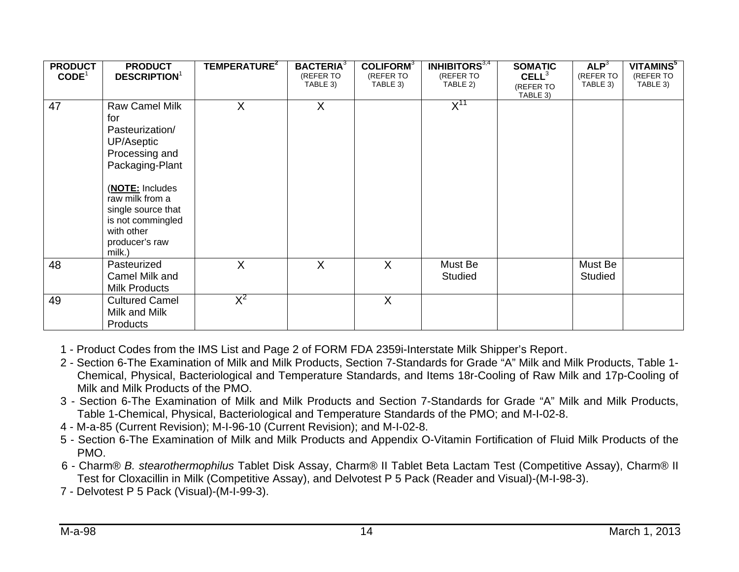| <b>PRODUCT</b><br>CODE <sup>1</sup> | <b>PRODUCT</b><br><b>DESCRIPTION</b> <sup>1</sup>                                                                                                                                                                             | TEMPERATURE <sup>2</sup> | <b>BACTERIA</b> <sup>3</sup><br>(REFER TO<br>TABLE 3) | COLIFORM <sup>3</sup><br>(REFER TO<br>TABLE 3) | <b>INHIBITORS</b> $3,4$<br>(REFER TO<br>TABLE 2) | <b>SOMATIC</b><br>CELL <sup>3</sup><br>(REFER TO | ALP <sup>3</sup><br>(REFER TO<br>TABLE 3) | VITAMINS <sup>5</sup><br>(REFER TO<br>TABLE 3) |
|-------------------------------------|-------------------------------------------------------------------------------------------------------------------------------------------------------------------------------------------------------------------------------|--------------------------|-------------------------------------------------------|------------------------------------------------|--------------------------------------------------|--------------------------------------------------|-------------------------------------------|------------------------------------------------|
| 47                                  | <b>Raw Camel Milk</b><br>for<br>Pasteurization/<br>UP/Aseptic<br>Processing and<br>Packaging-Plant<br>(NOTE: Includes<br>raw milk from a<br>single source that<br>is not commingled<br>with other<br>producer's raw<br>milk.) | X                        | X                                                     |                                                | $X^{11}$                                         | TABLE 3)                                         |                                           |                                                |
| 48                                  | Pasteurized<br>Camel Milk and<br><b>Milk Products</b>                                                                                                                                                                         | X                        | $\sf X$                                               | X                                              | Must Be<br>Studied                               |                                                  | Must Be<br><b>Studied</b>                 |                                                |
| 49                                  | <b>Cultured Camel</b><br>Milk and Milk<br><b>Products</b>                                                                                                                                                                     | $X^2$                    |                                                       | $\sf X$                                        |                                                  |                                                  |                                           |                                                |

1 - Product Codes from the IMS List and Page 2 of FORM FDA 2359i-Interstate Milk Shipper's Report .

- 2 Section 6-The Examination of Milk and Milk Products, Section 7-Standards for Grade "A" Milk and Milk Products, Table 1- Chemical, Physical, Bacteriological and Temperature Standards, and Items 18r-Cooling of Raw Milk and 17p-Cooling of Milk and Milk Products of the PMO.
- 3 Section 6-The Examination of Milk and Milk Products and Section 7-Standards for Grade "A" Milk and Milk Products, Table 1-Chemical, Physical, Bacteriological and Temperature Standards of the PMO; and M-I-02-8.
- 4 M-a-85 (Current Revision); M-I-96-10 (Current Revision); and M-I-02-8.
- 5 Section 6-The Examination of Milk and Milk Products and Appendix O-Vitamin Fortification of Fluid Milk Products of the PMO.
- 6 Charm® *B. stearothermophilus* Tablet Disk Assay, Charm® II Tablet Beta Lactam Test (Competitive Assay), Charm® II Test for Cloxacillin in Milk (Competitive Assay), and Delvotest P 5 Pack (Reader and Visual)-(M-I-98-3).
- 7 Delvotest P 5 Pack (Visual)-(M-I-99-3).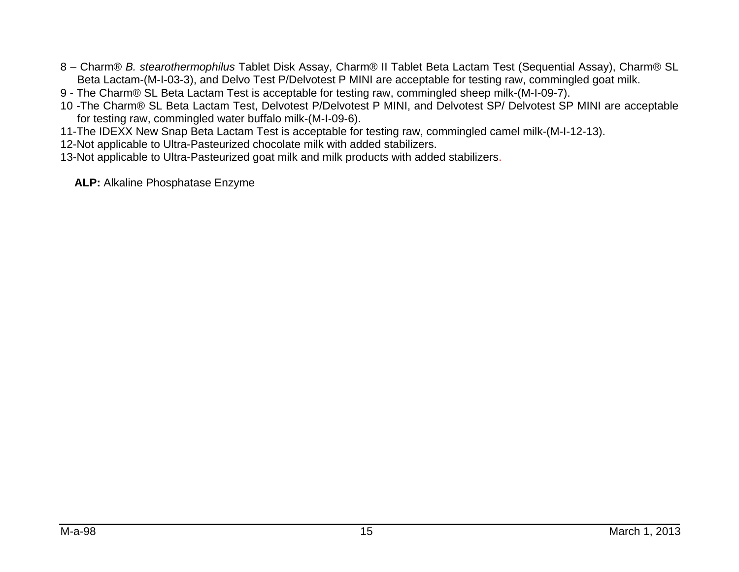- 8 Charm® *B. stearothermophilus* Tablet Disk Assay, Charm® II Tablet Beta Lactam Test (Sequential Assay), Charm® SL Beta Lactam-(M-I-03-3), and Delvo Test P/Delvotest P MINI are acceptable for testing raw, commingled goat milk.
- 9 The Charm® SL Beta Lactam Test is acceptable for testing raw, commingled sheep milk-(M-I-09-7).
- 10 -The Charm® SL Beta Lactam Test, Delvotest P/Delvotest P MINI, and Delvotest SP/ Delvotest SP MINI are acceptable for testing raw, commingled water buffalo milk-(M-I-09-6).
- 11-The IDEXX New Snap Beta Lactam Test is acceptable for testing raw, commingled camel milk-(M-I-12-13).
- 12-Not applicable to Ultra-Pasteurized chocolate milk with added stabilizers.
- 13-Not applicable to Ultra-Pasteurized goat milk and milk products with added stabilizers.
	- **ALP:** Alkaline Phosphatase Enzyme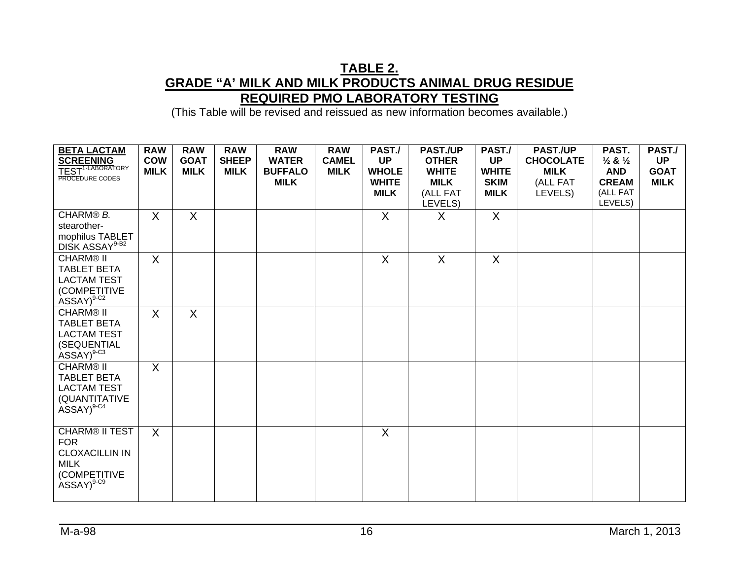#### **TABLE 2. GRADE "A' MILK AND MILK PRODUCTS ANIMAL DRUG RESIDUE REQUIRED PMO LABORATORY TESTING**

| <b>BETA LACTAM</b><br><b>SCREENING</b><br>TEST <sup>1-LABORATORY</sup><br>PROCEDURE CODES                      | <b>RAW</b><br><b>COW</b><br><b>MILK</b> | <b>RAW</b><br><b>GOAT</b><br><b>MILK</b> | <b>RAW</b><br><b>SHEEP</b><br><b>MILK</b> | <b>RAW</b><br><b>WATER</b><br><b>BUFFALO</b><br><b>MILK</b> | <b>RAW</b><br><b>CAMEL</b><br><b>MILK</b> | PAST./<br><b>UP</b><br><b>WHOLE</b><br><b>WHITE</b><br><b>MILK</b> | <b>PAST./UP</b><br><b>OTHER</b><br><b>WHITE</b><br><b>MILK</b><br>(ALL FAT<br>LEVELS) | PAST./<br><b>UP</b><br><b>WHITE</b><br><b>SKIM</b><br><b>MILK</b> | <b>PAST./UP</b><br><b>CHOCOLATE</b><br><b>MILK</b><br>(ALL FAT<br>LEVELS) | PAST.<br>$\frac{1}{2}$ & $\frac{1}{2}$<br><b>AND</b><br><b>CREAM</b><br>(ALL FAT<br>LEVELS) | PAST./<br><b>UP</b><br><b>GOAT</b><br><b>MILK</b> |
|----------------------------------------------------------------------------------------------------------------|-----------------------------------------|------------------------------------------|-------------------------------------------|-------------------------------------------------------------|-------------------------------------------|--------------------------------------------------------------------|---------------------------------------------------------------------------------------|-------------------------------------------------------------------|---------------------------------------------------------------------------|---------------------------------------------------------------------------------------------|---------------------------------------------------|
| CHARM® B.<br>stearother-<br>mophilus TABLET<br>DISK ASSAY <sup>9-B2</sup>                                      | $\sf X$                                 | X                                        |                                           |                                                             |                                           | $\mathsf{X}$                                                       | X                                                                                     | X                                                                 |                                                                           |                                                                                             |                                                   |
| <b>CHARM® II</b><br><b>TABLET BETA</b><br><b>LACTAM TEST</b><br>(COMPETITIVE<br>$ASSAY)^{9-C2}$                | $\sf X$                                 |                                          |                                           |                                                             |                                           | $\sf X$                                                            | X                                                                                     | $\sf X$                                                           |                                                                           |                                                                                             |                                                   |
| <b>CHARM® II</b><br><b>TABLET BETA</b><br><b>LACTAM TEST</b><br>(SEQUENTIAL<br>$ASSAY)^{9-C3}$                 | X                                       | $\mathsf{X}$                             |                                           |                                                             |                                           |                                                                    |                                                                                       |                                                                   |                                                                           |                                                                                             |                                                   |
| <b>CHARM® II</b><br><b>TABLET BETA</b><br><b>LACTAM TEST</b><br>(QUANTITATIVE<br>$ASSAY)^{9-C4}$               | X                                       |                                          |                                           |                                                             |                                           |                                                                    |                                                                                       |                                                                   |                                                                           |                                                                                             |                                                   |
| <b>CHARM® II TEST</b><br><b>FOR</b><br><b>CLOXACILLIN IN</b><br><b>MILK</b><br>(COMPETITIVE<br>$ASSAY)^{9-C9}$ | $\sf X$                                 |                                          |                                           |                                                             |                                           | $\sf X$                                                            |                                                                                       |                                                                   |                                                                           |                                                                                             |                                                   |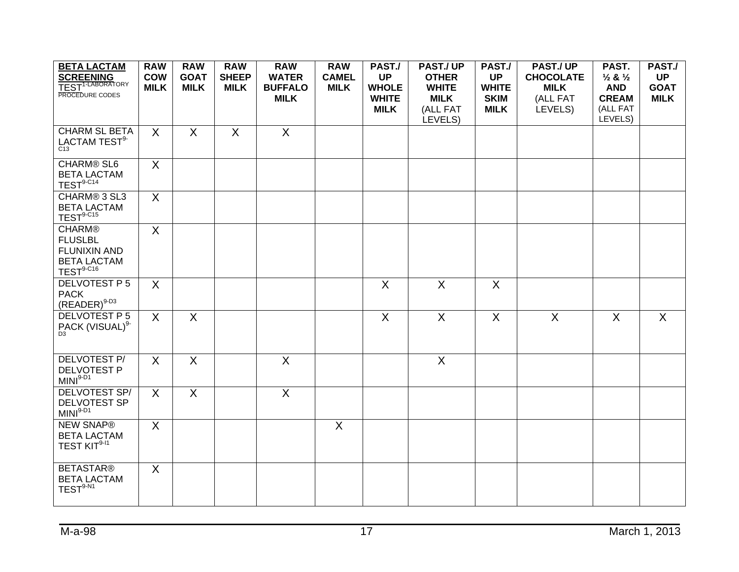| <b>BETA LACTAM</b><br><b>SCREENING</b><br>TEST <sup>1-LABORATORY</sup><br>PROCEDURE CODES   | <b>RAW</b><br><b>COW</b><br><b>MILK</b> | <b>RAW</b><br><b>GOAT</b><br><b>MILK</b> | <b>RAW</b><br><b>SHEEP</b><br><b>MILK</b> | <b>RAW</b><br><b>WATER</b><br><b>BUFFALO</b><br><b>MILK</b> | <b>RAW</b><br><b>CAMEL</b><br><b>MILK</b> | PAST./<br><b>UP</b><br><b>WHOLE</b><br><b>WHITE</b><br><b>MILK</b> | <b>PAST./UP</b><br><b>OTHER</b><br><b>WHITE</b><br><b>MILK</b><br>(ALL FAT<br>LEVELS) | PAST./<br><b>UP</b><br><b>WHITE</b><br><b>SKIM</b><br><b>MILK</b> | <b>PAST./UP</b><br><b>CHOCOLATE</b><br><b>MILK</b><br>(ALL FAT<br>LEVELS) | PAST.<br>$\frac{1}{2}$ & $\frac{1}{2}$<br><b>AND</b><br><b>CREAM</b><br>(ALL FAT<br>LEVELS) | PAST./<br><b>UP</b><br><b>GOAT</b><br><b>MILK</b> |
|---------------------------------------------------------------------------------------------|-----------------------------------------|------------------------------------------|-------------------------------------------|-------------------------------------------------------------|-------------------------------------------|--------------------------------------------------------------------|---------------------------------------------------------------------------------------|-------------------------------------------------------------------|---------------------------------------------------------------------------|---------------------------------------------------------------------------------------------|---------------------------------------------------|
| <b>CHARM SL BETA</b><br>LACTAM TEST <sup>9-</sup><br>C <sub>13</sub>                        | $\mathsf{X}$                            | $\mathsf{X}$                             | $\sf X$                                   | $\sf X$                                                     |                                           |                                                                    |                                                                                       |                                                                   |                                                                           |                                                                                             |                                                   |
| <b>CHARM® SL6</b><br><b>BETA LACTAM</b><br>$TEST9-C14$                                      | $\mathsf{X}$                            |                                          |                                           |                                                             |                                           |                                                                    |                                                                                       |                                                                   |                                                                           |                                                                                             |                                                   |
| CHARM® 3 SL3<br><b>BETA LACTAM</b><br>$TEST9-C15$                                           | $\mathsf{X}$                            |                                          |                                           |                                                             |                                           |                                                                    |                                                                                       |                                                                   |                                                                           |                                                                                             |                                                   |
| <b>CHARM®</b><br><b>FLUSLBL</b><br><b>FLUNIXIN AND</b><br><b>BETA LACTAM</b><br>$TEST9-C16$ | $\overline{X}$                          |                                          |                                           |                                                             |                                           |                                                                    |                                                                                       |                                                                   |                                                                           |                                                                                             |                                                   |
| DELVOTEST P 5<br><b>PACK</b><br>$(READER)^{9-D3}$                                           | X                                       |                                          |                                           |                                                             |                                           | X                                                                  | $\mathsf{X}$                                                                          | X                                                                 |                                                                           |                                                                                             |                                                   |
| <b>DELVOTEST P5</b><br>PACK (VISUAL) <sup>9-</sup>                                          | X                                       | X                                        |                                           |                                                             |                                           | X                                                                  | X                                                                                     | X                                                                 | X                                                                         | $\sf X$                                                                                     | X                                                 |
| <b>DELVOTEST P/</b><br><b>DELVOTEST P</b><br>$MINI9-D1$                                     | $\overline{X}$                          | $\sf X$                                  |                                           | $\overline{X}$                                              |                                           |                                                                    | $\overline{X}$                                                                        |                                                                   |                                                                           |                                                                                             |                                                   |
| DELVOTEST SP/<br><b>DELVOTEST SP</b><br>$MINI9-D1$                                          | X                                       | X                                        |                                           | $\overline{\mathsf{x}}$                                     |                                           |                                                                    |                                                                                       |                                                                   |                                                                           |                                                                                             |                                                   |
| <b>NEW SNAP®</b><br><b>BETA LACTAM</b><br>TEST KIT <sup>9-11</sup>                          | $\mathsf{X}$                            |                                          |                                           |                                                             | $\sf X$                                   |                                                                    |                                                                                       |                                                                   |                                                                           |                                                                                             |                                                   |
| <b>BETASTAR®</b><br><b>BETA LACTAM</b><br>$TEST9-N1$                                        | $\mathsf{X}$                            |                                          |                                           |                                                             |                                           |                                                                    |                                                                                       |                                                                   |                                                                           |                                                                                             |                                                   |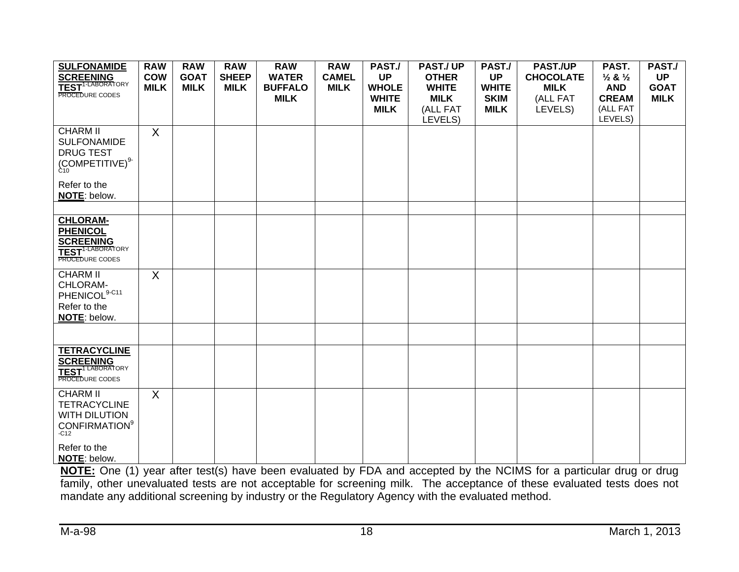| <b>SULFONAMIDE</b><br><b>SCREENING</b><br>TEST <sup>1-LABORATORY</sup><br>PROCEDURE CODES                                                    | <b>RAW</b><br><b>COW</b><br><b>MILK</b> | <b>RAW</b><br><b>GOAT</b><br><b>MILK</b> | <b>RAW</b><br><b>SHEEP</b><br><b>MILK</b> | <b>RAW</b><br><b>WATER</b><br><b>BUFFALO</b><br><b>MILK</b> | <b>RAW</b><br><b>CAMEL</b><br><b>MILK</b> | PAST./<br><b>UP</b><br><b>WHOLE</b><br><b>WHITE</b><br><b>MILK</b> | <b>PAST/UP</b><br><b>OTHER</b><br><b>WHITE</b><br><b>MILK</b><br>(ALL FAT<br>LEVELS) | PAST./<br><b>UP</b><br><b>WHITE</b><br><b>SKIM</b><br><b>MILK</b> | <b>PAST./UP</b><br><b>CHOCOLATE</b><br><b>MILK</b><br>(ALL FAT<br>LEVELS) | PAST.<br>$\frac{1}{2}$ & $\frac{1}{2}$<br><b>AND</b><br><b>CREAM</b><br>(ALL FAT<br>LEVELS) | PAST./<br><b>UP</b><br><b>GOAT</b><br><b>MILK</b> |
|----------------------------------------------------------------------------------------------------------------------------------------------|-----------------------------------------|------------------------------------------|-------------------------------------------|-------------------------------------------------------------|-------------------------------------------|--------------------------------------------------------------------|--------------------------------------------------------------------------------------|-------------------------------------------------------------------|---------------------------------------------------------------------------|---------------------------------------------------------------------------------------------|---------------------------------------------------|
| <b>CHARM II</b><br><b>SULFONAMIDE</b><br><b>DRUG TEST</b><br>$\left(\underset{\mathsf{C10}}{\text{COMPETITIVE}}\right)^{9-}$                 | X                                       |                                          |                                           |                                                             |                                           |                                                                    |                                                                                      |                                                                   |                                                                           |                                                                                             |                                                   |
| Refer to the<br>NOTE: below.                                                                                                                 |                                         |                                          |                                           |                                                             |                                           |                                                                    |                                                                                      |                                                                   |                                                                           |                                                                                             |                                                   |
|                                                                                                                                              |                                         |                                          |                                           |                                                             |                                           |                                                                    |                                                                                      |                                                                   |                                                                           |                                                                                             |                                                   |
| <b>CHLORAM-</b><br><b>PHENICOL</b><br><b>SCREENING</b><br>TEST <sup>1-LABORATORY</sup><br>PROCEDURE CODES                                    |                                         |                                          |                                           |                                                             |                                           |                                                                    |                                                                                      |                                                                   |                                                                           |                                                                                             |                                                   |
| <b>CHARM II</b><br>CHLORAM-<br>PHENICOL <sup>9-C11</sup><br>Refer to the<br>NOTE: below.                                                     | X                                       |                                          |                                           |                                                             |                                           |                                                                    |                                                                                      |                                                                   |                                                                           |                                                                                             |                                                   |
|                                                                                                                                              |                                         |                                          |                                           |                                                             |                                           |                                                                    |                                                                                      |                                                                   |                                                                           |                                                                                             |                                                   |
| <b>TETRACYCLINE</b><br><b>SCREENING</b><br><b>TEST</b> <sup>1 LABORATORY</sup><br>PROCEDURE CODES                                            |                                         |                                          |                                           |                                                             |                                           |                                                                    |                                                                                      |                                                                   |                                                                           |                                                                                             |                                                   |
| <b>CHARM II</b><br><b>TETRACYCLINE</b><br><b>WITH DILUTION</b><br><b>CONFIRMATION</b> <sup>9</sup><br>$-C12$<br>Refer to the<br>NOTE: below. | X                                       |                                          |                                           |                                                             |                                           |                                                                    |                                                                                      |                                                                   |                                                                           |                                                                                             |                                                   |

**NOTE**: below. **NOTE:** One (1) year after test(s) have been evaluated by FDA and accepted by the NCIMS for a particular drug or drug family, other unevaluated tests are not acceptable for screening milk. The acceptance of these evaluated tests does not mandate any additional screening by industry or the Regulatory Agency with the evaluated method.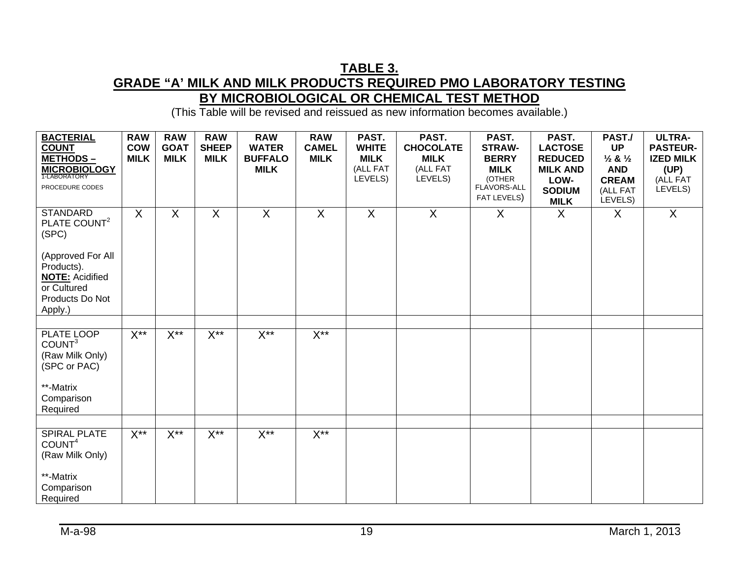#### **TABLE 3. GRADE "A' MILK AND MILK PRODUCTS REQUIRED PMO LABORATORY TESTING BY MICROBIOLOGICAL OR CHEMICAL TEST METHOD**

| <b>BACTERIAL</b>                                                                  | <b>RAW</b>                | <b>RAW</b>                 | <b>RAW</b>                  | <b>RAW</b>                     | <b>RAW</b>                  | PAST.                       | PAST.                           | PAST.                         | PAST.                            | PAST./                                     | <b>ULTRA-</b>                       |
|-----------------------------------------------------------------------------------|---------------------------|----------------------------|-----------------------------|--------------------------------|-----------------------------|-----------------------------|---------------------------------|-------------------------------|----------------------------------|--------------------------------------------|-------------------------------------|
| <b>COUNT</b><br>METHODS-                                                          | <b>COW</b><br><b>MILK</b> | <b>GOAT</b><br><b>MILK</b> | <b>SHEEP</b><br><b>MILK</b> | <b>WATER</b><br><b>BUFFALO</b> | <b>CAMEL</b><br><b>MILK</b> | <b>WHITE</b><br><b>MILK</b> | <b>CHOCOLATE</b><br><b>MILK</b> | <b>STRAW-</b><br><b>BERRY</b> | <b>LACTOSE</b><br><b>REDUCED</b> | <b>UP</b><br>$\frac{1}{2}$ & $\frac{1}{2}$ | <b>PASTEUR-</b><br><b>IZED MILK</b> |
| <b>MICROBIOLOGY</b>                                                               |                           |                            |                             | <b>MILK</b>                    |                             | (ALL FAT                    | (ALL FAT                        | <b>MILK</b>                   | <b>MILK AND</b>                  | <b>AND</b>                                 | (UP)                                |
| PROCEDURE CODES                                                                   |                           |                            |                             |                                |                             | LEVELS)                     | LEVELS)                         | (OTHER<br>FLAVORS-ALL         | LOW-                             | <b>CREAM</b>                               | (ALL FAT<br>LEVELS)                 |
|                                                                                   |                           |                            |                             |                                |                             |                             |                                 | FAT LEVELS)                   | <b>SODIUM</b><br><b>MILK</b>     | (ALL FAT<br>LEVELS)                        |                                     |
| <b>STANDARD</b><br>PLATE COUNT <sup>2</sup><br>(SPC)<br>(Approved For All         | X                         | $\mathsf{X}$               | $\sf X$                     | $\sf X$                        | $\sf X$                     | $\sf X$                     | $\mathsf{X}$                    | $\mathsf{X}$                  | $\sf X$                          | $\sf X$                                    | X                                   |
| Products).<br><b>NOTE: Acidified</b><br>or Cultured<br>Products Do Not<br>Apply.) |                           |                            |                             |                                |                             |                             |                                 |                               |                                  |                                            |                                     |
|                                                                                   |                           |                            |                             |                                |                             |                             |                                 |                               |                                  |                                            |                                     |
| PLATE LOOP<br>COUNT <sup>3</sup><br>(Raw Milk Only)<br>(SPC or PAC)               | $X^{\ast\ast}$            | $X^{\ast\ast}$             | $X^{\ast\ast}$              | $X^{\ast\ast}$                 | $X^{\ast\ast}$              |                             |                                 |                               |                                  |                                            |                                     |
| **-Matrix<br>Comparison<br>Required                                               |                           |                            |                             |                                |                             |                             |                                 |                               |                                  |                                            |                                     |
|                                                                                   |                           |                            |                             |                                |                             |                             |                                 |                               |                                  |                                            |                                     |
| <b>SPIRAL PLATE</b><br>COUNT <sup>4</sup><br>(Raw Milk Only)                      | $X^{\ast\ast}$            | $X^{**}$                   | $X^{\ast\ast}$              | $X^{\star\star}$               | $X^{\ast\ast}$              |                             |                                 |                               |                                  |                                            |                                     |
| **-Matrix<br>Comparison<br>Required                                               |                           |                            |                             |                                |                             |                             |                                 |                               |                                  |                                            |                                     |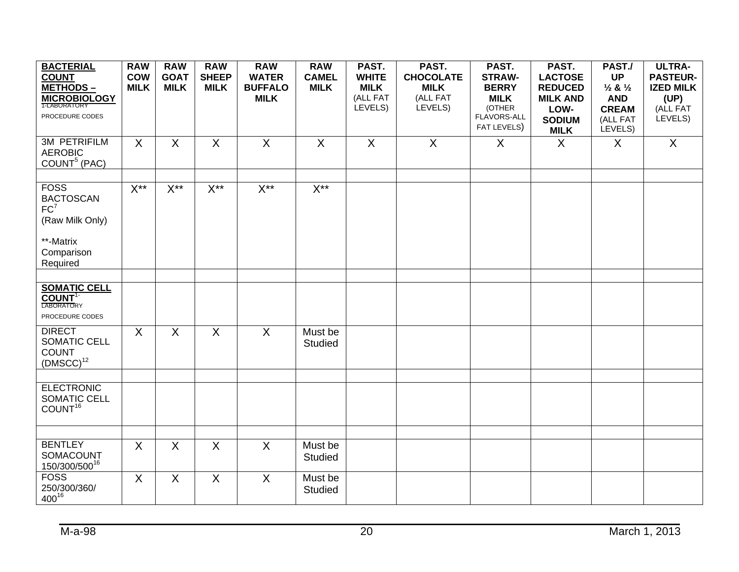| <b>BACTERIAL</b><br><b>COUNT</b>                                                  | <b>RAW</b><br><b>COW</b> | <b>RAW</b><br><b>GOAT</b> | <b>RAW</b><br><b>SHEEP</b> | <b>RAW</b><br><b>WATER</b>    | <b>RAW</b><br><b>CAMEL</b> | PAST.<br><b>WHITE</b>   | PAST.<br><b>CHOCOLATE</b> | PAST.<br><b>STRAW-</b>               | PAST.<br><b>LACTOSE</b>              | PAST./<br><b>UP</b>                         | <b>ULTRA-</b><br><b>PASTEUR-</b> |
|-----------------------------------------------------------------------------------|--------------------------|---------------------------|----------------------------|-------------------------------|----------------------------|-------------------------|---------------------------|--------------------------------------|--------------------------------------|---------------------------------------------|----------------------------------|
| <b>METHODS-</b><br><b>MICROBIOLOGY</b><br>1-LABORATORY                            | <b>MILK</b>              | <b>MILK</b>               | <b>MILK</b>                | <b>BUFFALO</b><br><b>MILK</b> | <b>MILK</b>                | <b>MILK</b><br>(ALL FAT | <b>MILK</b><br>(ALL FAT   | <b>BERRY</b><br><b>MILK</b>          | <b>REDUCED</b><br><b>MILK AND</b>    | $\frac{1}{2}$ & $\frac{1}{2}$<br><b>AND</b> | <b>IZED MILK</b><br>(UP)         |
| PROCEDURE CODES                                                                   |                          |                           |                            |                               |                            | LEVELS)                 | LEVELS)                   | (OTHER<br>FLAVORS-ALL<br>FAT LEVELS) | LOW-<br><b>SODIUM</b><br><b>MILK</b> | <b>CREAM</b><br>(ALL FAT<br>LEVELS)         | (ALL FAT<br>LEVELS)              |
| 3M PETRIFILM<br><b>AEROBIC</b><br>COUNT <sup>5</sup> (PAC)                        | $\mathsf{X}$             | $\sf X$                   | $\sf X$                    | $\mathsf{X}$                  | $\sf X$                    | $\mathsf{X}$            | X                         | X                                    | $\sf X$                              | X                                           | $\mathsf{X}$                     |
| <b>FOSS</b><br><b>BACTOSCAN</b><br>FC <sup>7</sup><br>(Raw Milk Only)             | $X^{**}$                 | $\overline{X^{**}}$       | $X^{**}$                   | $\overline{X^{**}}$           | $X^{**}$                   |                         |                           |                                      |                                      |                                             |                                  |
| **-Matrix<br>Comparison<br>Required                                               |                          |                           |                            |                               |                            |                         |                           |                                      |                                      |                                             |                                  |
| <b>SOMATIC CELL</b><br><b>COUNT<sup>1-</sup></b><br>LABORATORY<br>PROCEDURE CODES |                          |                           |                            |                               |                            |                         |                           |                                      |                                      |                                             |                                  |
| <b>DIRECT</b><br>SOMATIC CELL<br><b>COUNT</b><br>$(DMSCC)^{12}$                   | $\sf X$                  | $\overline{\mathsf{x}}$   | $\overline{X}$             | $\overline{X}$                | Must be<br>Studied         |                         |                           |                                      |                                      |                                             |                                  |
| <b>ELECTRONIC</b><br>SOMATIC CELL<br>COUNT <sup>16</sup>                          |                          |                           |                            |                               |                            |                         |                           |                                      |                                      |                                             |                                  |
| <b>BENTLEY</b>                                                                    |                          |                           |                            |                               |                            |                         |                           |                                      |                                      |                                             |                                  |
| SOMACOUNT<br>150/300/50016                                                        | X                        | $\sf X$                   | $\sf X$                    | $\sf X$                       | Must be<br>Studied         |                         |                           |                                      |                                      |                                             |                                  |
| <b>FOSS</b><br>250/300/360/<br>$400^{16}$                                         | X                        | $\sf X$                   | X                          | $\sf X$                       | Must be<br>Studied         |                         |                           |                                      |                                      |                                             |                                  |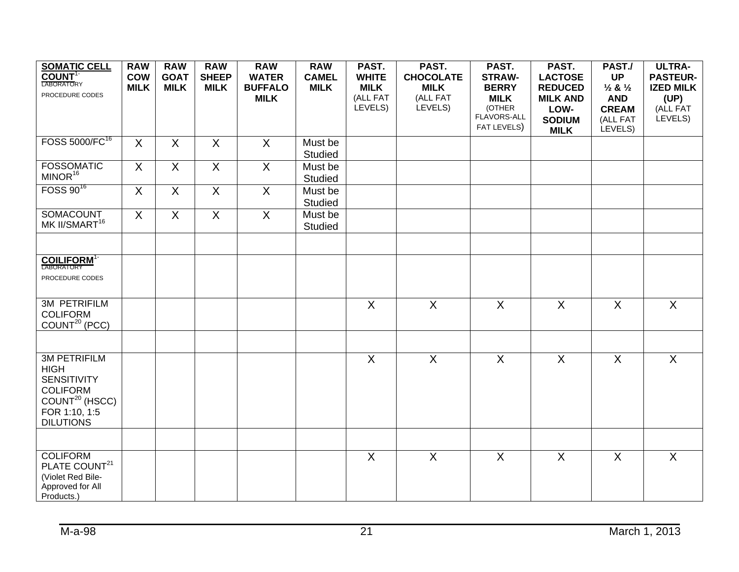| <b>SOMATIC CELL</b><br>COUNT <sup>1-</sup> | <b>RAW</b><br><b>COW</b> | <b>RAW</b><br><b>GOAT</b> | <b>RAW</b><br><b>SHEEP</b> | <b>RAW</b><br><b>WATER</b> | <b>RAW</b><br><b>CAMEL</b> | PAST.<br><b>WHITE</b> | PAST.<br><b>CHOCOLATE</b> | PAST.<br><b>STRAW-</b> | PAST.<br><b>LACTOSE</b> | PAST./<br><b>UP</b>           | <b>ULTRA-</b><br><b>PASTEUR-</b> |
|--------------------------------------------|--------------------------|---------------------------|----------------------------|----------------------------|----------------------------|-----------------------|---------------------------|------------------------|-------------------------|-------------------------------|----------------------------------|
| <b>LABORATORY</b>                          | <b>MILK</b>              | <b>MILK</b>               | <b>MILK</b>                | <b>BUFFALO</b>             | <b>MILK</b>                | <b>MILK</b>           | <b>MILK</b>               | <b>BERRY</b>           | <b>REDUCED</b>          | $\frac{1}{2}$ & $\frac{1}{2}$ | <b>IZED MILK</b>                 |
| PROCEDURE CODES                            |                          |                           |                            | <b>MILK</b>                |                            | (ALL FAT              | (ALL FAT                  | <b>MILK</b>            | <b>MILK AND</b>         | <b>AND</b>                    | (UP)                             |
|                                            |                          |                           |                            |                            |                            | LEVELS)               | LEVELS)                   | (OTHER                 | LOW-                    | <b>CREAM</b>                  | (ALL FAT                         |
|                                            |                          |                           |                            |                            |                            |                       |                           | FLAVORS-ALL            | <b>SODIUM</b>           | (ALL FAT                      | LEVELS)                          |
|                                            |                          |                           |                            |                            |                            |                       |                           | FAT LEVELS)            | <b>MILK</b>             | LEVELS)                       |                                  |
| FOSS 5000/FC <sup>16</sup>                 | $\sf X$                  | $\sf X$                   | $\sf X$                    | $\sf X$                    | Must be                    |                       |                           |                        |                         |                               |                                  |
|                                            |                          |                           |                            |                            | <b>Studied</b>             |                       |                           |                        |                         |                               |                                  |
| <b>FOSSOMATIC</b>                          | X                        | $\sf X$                   | X                          | $\sf X$                    | Must be                    |                       |                           |                        |                         |                               |                                  |
| MINOR <sup>16</sup>                        |                          |                           |                            |                            | <b>Studied</b>             |                       |                           |                        |                         |                               |                                  |
| FOSS 90 <sup>16</sup>                      | $\overline{X}$           | $\overline{X}$            | X                          | X                          | Must be                    |                       |                           |                        |                         |                               |                                  |
|                                            |                          |                           |                            |                            | <b>Studied</b>             |                       |                           |                        |                         |                               |                                  |
| SOMACOUNT                                  | $\sf X$                  | $\mathsf{X}$              | X                          | $\mathsf{X}$               | Must be                    |                       |                           |                        |                         |                               |                                  |
| MK II/SMART <sup>16</sup>                  |                          |                           |                            |                            | Studied                    |                       |                           |                        |                         |                               |                                  |
|                                            |                          |                           |                            |                            |                            |                       |                           |                        |                         |                               |                                  |
|                                            |                          |                           |                            |                            |                            |                       |                           |                        |                         |                               |                                  |
| <b>COILIFORM</b> <sup>1-</sup>             |                          |                           |                            |                            |                            |                       |                           |                        |                         |                               |                                  |
| LABORATORY                                 |                          |                           |                            |                            |                            |                       |                           |                        |                         |                               |                                  |
| PROCEDURE CODES                            |                          |                           |                            |                            |                            |                       |                           |                        |                         |                               |                                  |
|                                            |                          |                           |                            |                            |                            |                       |                           |                        |                         |                               |                                  |
| <b>3M PETRIFILM</b>                        |                          |                           |                            |                            |                            | $\overline{X}$        | $\overline{X}$            | $\overline{X}$         | $\overline{X}$          | $\overline{X}$                | $\overline{X}$                   |
| <b>COLIFORM</b>                            |                          |                           |                            |                            |                            |                       |                           |                        |                         |                               |                                  |
| COUNT <sup>20</sup> (PCC)                  |                          |                           |                            |                            |                            |                       |                           |                        |                         |                               |                                  |
|                                            |                          |                           |                            |                            |                            |                       |                           |                        |                         |                               |                                  |
| <b>3M PETRIFILM</b>                        |                          |                           |                            |                            |                            | $\overline{X}$        | $\overline{X}$            | $\overline{X}$         | $\overline{X}$          | $\overline{X}$                | $\overline{X}$                   |
| <b>HIGH</b>                                |                          |                           |                            |                            |                            |                       |                           |                        |                         |                               |                                  |
| <b>SENSITIVITY</b>                         |                          |                           |                            |                            |                            |                       |                           |                        |                         |                               |                                  |
| <b>COLIFORM</b>                            |                          |                           |                            |                            |                            |                       |                           |                        |                         |                               |                                  |
| COUNT <sup>20</sup> (HSCC)                 |                          |                           |                            |                            |                            |                       |                           |                        |                         |                               |                                  |
| FOR 1:10, 1:5                              |                          |                           |                            |                            |                            |                       |                           |                        |                         |                               |                                  |
| <b>DILUTIONS</b>                           |                          |                           |                            |                            |                            |                       |                           |                        |                         |                               |                                  |
|                                            |                          |                           |                            |                            |                            |                       |                           |                        |                         |                               |                                  |
|                                            |                          |                           |                            |                            |                            |                       |                           |                        |                         |                               |                                  |
| <b>COLIFORM</b>                            |                          |                           |                            |                            |                            | X                     | $\sf X$                   | $\mathsf{X}$           | $\mathsf{X}$            | $\sf X$                       | X                                |
| PLATE COUNT <sup>21</sup>                  |                          |                           |                            |                            |                            |                       |                           |                        |                         |                               |                                  |
| (Violet Red Bile-                          |                          |                           |                            |                            |                            |                       |                           |                        |                         |                               |                                  |
| Approved for All<br>Products.)             |                          |                           |                            |                            |                            |                       |                           |                        |                         |                               |                                  |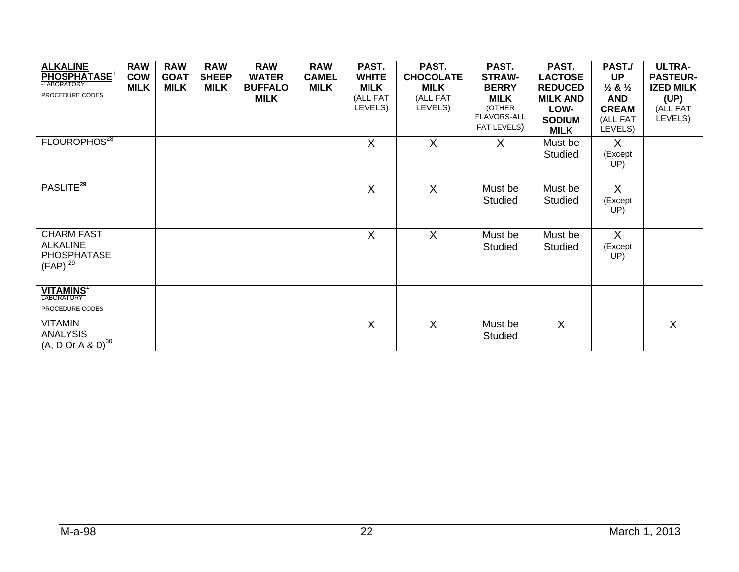| <b>ALKALINE</b><br>PHOSPHATASE <sup>1</sup><br><b>LABORATORY</b>           | <b>RAW</b><br><b>COW</b><br><b>MILK</b> | <b>RAW</b><br><b>GOAT</b><br><b>MILK</b> | <b>RAW</b><br><b>SHEEP</b><br><b>MILK</b> | <b>RAW</b><br><b>WATER</b><br><b>BUFFALO</b> | <b>RAW</b><br><b>CAMEL</b><br><b>MILK</b> | PAST.<br><b>WHITE</b><br><b>MILK</b> | PAST.<br><b>CHOCOLATE</b><br><b>MILK</b> | PAST.<br><b>STRAW-</b><br><b>BERRY</b>                     | PAST.<br><b>LACTOSE</b><br><b>REDUCED</b>               | PAST./<br><b>UP</b><br>$\frac{1}{2}$ & $\frac{1}{2}$ | <b>ULTRA-</b><br><b>PASTEUR-</b><br><b>IZED MILK</b> |
|----------------------------------------------------------------------------|-----------------------------------------|------------------------------------------|-------------------------------------------|----------------------------------------------|-------------------------------------------|--------------------------------------|------------------------------------------|------------------------------------------------------------|---------------------------------------------------------|------------------------------------------------------|------------------------------------------------------|
| PROCEDURE CODES                                                            |                                         |                                          |                                           | <b>MILK</b>                                  |                                           | (ALL FAT<br>LEVELS)                  | (ALL FAT<br>LEVELS)                      | <b>MILK</b><br>(OTHER<br><b>FLAVORS-ALL</b><br>FAT LEVELS) | <b>MILK AND</b><br>LOW-<br><b>SODIUM</b><br><b>MILK</b> | <b>AND</b><br><b>CREAM</b><br>(ALL FAT<br>LEVELS)    | (UP)<br>(ALL FAT<br>LEVELS)                          |
| FLOUROPHOS <sup>28</sup>                                                   |                                         |                                          |                                           |                                              |                                           | $\sf X$                              | $\sf X$                                  | X                                                          | Must be<br>Studied                                      | X<br>(Except<br>UP)                                  |                                                      |
| PASLITE <sup>29</sup>                                                      |                                         |                                          |                                           |                                              |                                           | X                                    | X                                        | Must be<br><b>Studied</b>                                  | Must be<br>Studied                                      | X<br>(Except<br>UP)                                  |                                                      |
| <b>CHARM FAST</b><br><b>ALKALINE</b><br><b>PHOSPHATASE</b><br>$(FAP)^{29}$ |                                         |                                          |                                           |                                              |                                           | $\sf X$                              | $\sf X$                                  | Must be<br>Studied                                         | Must be<br>Studied                                      | X<br>(Except<br>UP)                                  |                                                      |
| <b>VITAMINS<sup>1</sup></b><br>PROCEDURE CODES                             |                                         |                                          |                                           |                                              |                                           |                                      |                                          |                                                            |                                                         |                                                      |                                                      |
| <b>VITAMIN</b><br><b>ANALYSIS</b><br>$(A, D$ Or A & D) <sup>30</sup>       |                                         |                                          |                                           |                                              |                                           | $\sf X$                              | $\sf X$                                  | Must be<br>Studied                                         | $\sf X$                                                 |                                                      | $\sf X$                                              |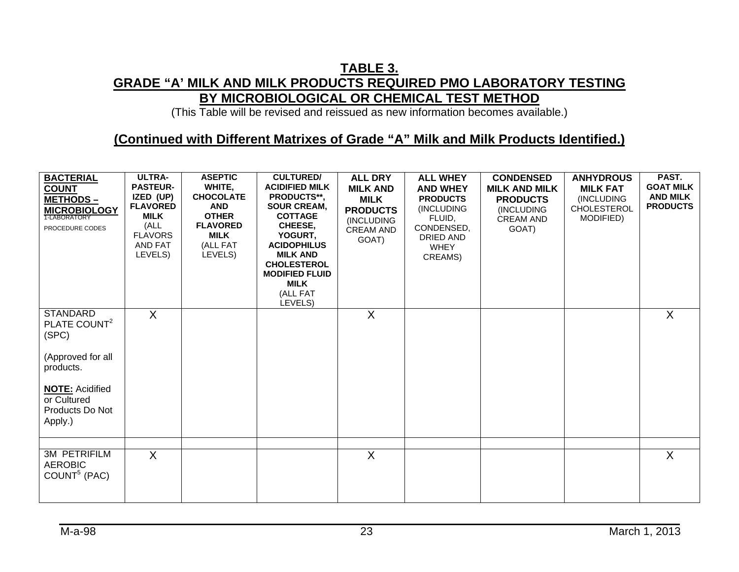### **TABLE 3. GRADE "A' MILK AND MILK PRODUCTS REQUIRED PMO LABORATORY TESTING BY MICROBIOLOGICAL OR CHEMICAL TEST METHOD**

(This Table will be revised and reissued as new information becomes available.)

#### **(Continued with Different Matrixes of Grade "A" Milk and Milk Products Identified.)**

| <b>BACTERIAL</b><br><b>COUNT</b><br><b>METHODS-</b><br><b>MICROBIOLOGY</b><br>PROCEDURE CODES                                                                 | <b>ULTRA-</b><br><b>PASTEUR-</b><br>IZED (UP)<br><b>FLAVORED</b><br><b>MILK</b><br>(ALL<br><b>FLAVORS</b><br>AND FAT<br>LEVELS) | <b>ASEPTIC</b><br>WHITE,<br><b>CHOCOLATE</b><br><b>AND</b><br><b>OTHER</b><br><b>FLAVORED</b><br><b>MILK</b><br>(ALL FAT<br>LEVELS) | <b>CULTURED/</b><br><b>ACIDIFIED MILK</b><br>PRODUCTS**,<br><b>SOUR CREAM,</b><br><b>COTTAGE</b><br>CHEESE,<br>YOGURT,<br><b>ACIDOPHILUS</b><br><b>MILK AND</b><br><b>CHOLESTEROL</b><br><b>MODIFIED FLUID</b><br><b>MILK</b><br>(ALL FAT<br>LEVELS) | <b>ALL DRY</b><br><b>MILK AND</b><br><b>MILK</b><br><b>PRODUCTS</b><br>(INCLUDING<br><b>CREAM AND</b><br>GOAT) | <b>ALL WHEY</b><br><b>AND WHEY</b><br><b>PRODUCTS</b><br>(INCLUDING<br>FLUID,<br>CONDENSED,<br>DRIED AND<br><b>WHEY</b><br>CREAMS) | <b>CONDENSED</b><br><b>MILK AND MILK</b><br><b>PRODUCTS</b><br>(INCLUDING<br><b>CREAM AND</b><br>GOAT) | <b>ANHYDROUS</b><br><b>MILK FAT</b><br>(INCLUDING<br><b>CHOLESTEROL</b><br>MODIFIED) | PAST.<br><b>GOAT MILK</b><br><b>AND MILK</b><br><b>PRODUCTS</b> |
|---------------------------------------------------------------------------------------------------------------------------------------------------------------|---------------------------------------------------------------------------------------------------------------------------------|-------------------------------------------------------------------------------------------------------------------------------------|------------------------------------------------------------------------------------------------------------------------------------------------------------------------------------------------------------------------------------------------------|----------------------------------------------------------------------------------------------------------------|------------------------------------------------------------------------------------------------------------------------------------|--------------------------------------------------------------------------------------------------------|--------------------------------------------------------------------------------------|-----------------------------------------------------------------|
| <b>STANDARD</b><br>PLATE COUNT <sup>2</sup><br>(SPC)<br>(Approved for all<br>products.<br><b>NOTE: Acidified</b><br>or Cultured<br>Products Do Not<br>Apply.) | $\sf X$                                                                                                                         |                                                                                                                                     |                                                                                                                                                                                                                                                      | X                                                                                                              |                                                                                                                                    |                                                                                                        |                                                                                      | X                                                               |
| <b>3M PETRIFILM</b><br><b>AEROBIC</b><br>COUNT <sup>5</sup> (PAC)                                                                                             | $\sf X$                                                                                                                         |                                                                                                                                     |                                                                                                                                                                                                                                                      | $\mathsf{X}$                                                                                                   |                                                                                                                                    |                                                                                                        |                                                                                      | $\mathsf{X}$                                                    |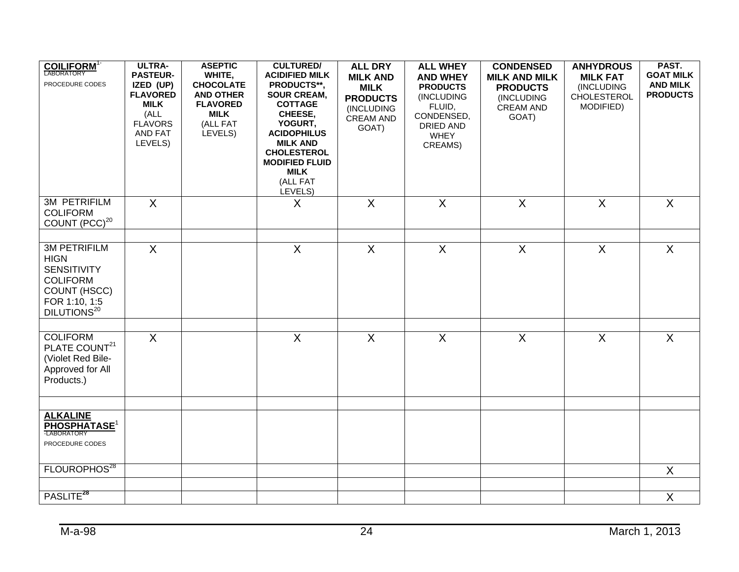| <b>COILIFORM</b> <sup>1-</sup><br>PROCEDURE CODES                                                                                       | ULTRA-<br><b>PASTEUR-</b><br>IZED (UP)<br><b>FLAVORED</b><br><b>MILK</b><br>(ALL<br><b>FLAVORS</b><br>AND FAT<br>LEVELS) | <b>ASEPTIC</b><br>WHITE,<br><b>CHOCOLATE</b><br><b>AND OTHER</b><br><b>FLAVORED</b><br><b>MILK</b><br>(ALL FAT<br>LEVELS) | <b>CULTURED/</b><br><b>ACIDIFIED MILK</b><br>PRODUCTS**,<br><b>SOUR CREAM,</b><br><b>COTTAGE</b><br>CHEESE,<br>YOGURT,<br><b>ACIDOPHILUS</b><br><b>MILK AND</b><br><b>CHOLESTEROL</b><br><b>MODIFIED FLUID</b><br><b>MILK</b><br>(ALL FAT<br>LEVELS) | <b>ALL DRY</b><br><b>MILK AND</b><br><b>MILK</b><br><b>PRODUCTS</b><br>(INCLUDING<br><b>CREAM AND</b><br>GOAT) | <b>ALL WHEY</b><br><b>AND WHEY</b><br><b>PRODUCTS</b><br>(INCLUDING<br>FLUID,<br>CONDENSED,<br><b>DRIED AND</b><br><b>WHEY</b><br>CREAMS) | <b>CONDENSED</b><br><b>MILK AND MILK</b><br><b>PRODUCTS</b><br>(INCLUDING<br><b>CREAM AND</b><br>GOAT) | <b>ANHYDROUS</b><br><b>MILK FAT</b><br>(INCLUDING<br>CHOLESTEROL<br>MODIFIED) | PAST.<br><b>GOAT MILK</b><br><b>AND MILK</b><br><b>PRODUCTS</b> |
|-----------------------------------------------------------------------------------------------------------------------------------------|--------------------------------------------------------------------------------------------------------------------------|---------------------------------------------------------------------------------------------------------------------------|------------------------------------------------------------------------------------------------------------------------------------------------------------------------------------------------------------------------------------------------------|----------------------------------------------------------------------------------------------------------------|-------------------------------------------------------------------------------------------------------------------------------------------|--------------------------------------------------------------------------------------------------------|-------------------------------------------------------------------------------|-----------------------------------------------------------------|
| <b>3M PETRIFILM</b><br><b>COLIFORM</b><br>COUNT (PCC) <sup>20</sup>                                                                     | $\sf X$                                                                                                                  |                                                                                                                           | X                                                                                                                                                                                                                                                    | $\overline{X}$                                                                                                 | $\sf X$                                                                                                                                   | $\sf X$                                                                                                | $\overline{X}$                                                                | $\sf X$                                                         |
| <b>3M PETRIFILM</b><br><b>HIGN</b><br><b>SENSITIVITY</b><br><b>COLIFORM</b><br>COUNT (HSCC)<br>FOR 1:10, 1:5<br>DILUTIONS <sup>20</sup> | $\overline{X}$                                                                                                           |                                                                                                                           | $\overline{\mathsf{x}}$                                                                                                                                                                                                                              | $\overline{X}$                                                                                                 | $\overline{X}$                                                                                                                            | $\overline{X}$                                                                                         | $\overline{X}$                                                                | $\overline{X}$                                                  |
| <b>COLIFORM</b><br>PLATE COUNT <sup>21</sup><br>(Violet Red Bile-<br>Approved for All<br>Products.)                                     | $\mathsf{X}$                                                                                                             |                                                                                                                           | $\mathsf{X}$                                                                                                                                                                                                                                         | $\mathsf{X}$                                                                                                   | $\overline{X}$                                                                                                                            | $\sf X$                                                                                                | $\sf X$                                                                       | $\overline{X}$                                                  |
| <b>ALKALINE</b><br><b>PHOSPHATASE<sup>1</sup></b><br>PROCEDURE CODES                                                                    |                                                                                                                          |                                                                                                                           |                                                                                                                                                                                                                                                      |                                                                                                                |                                                                                                                                           |                                                                                                        |                                                                               |                                                                 |
| FLOUROPHOS <sup>28</sup>                                                                                                                |                                                                                                                          |                                                                                                                           |                                                                                                                                                                                                                                                      |                                                                                                                |                                                                                                                                           |                                                                                                        |                                                                               | $\mathsf{X}$                                                    |
| PASLITE <sup>28</sup>                                                                                                                   |                                                                                                                          |                                                                                                                           |                                                                                                                                                                                                                                                      |                                                                                                                |                                                                                                                                           |                                                                                                        |                                                                               | X                                                               |
|                                                                                                                                         |                                                                                                                          |                                                                                                                           |                                                                                                                                                                                                                                                      |                                                                                                                |                                                                                                                                           |                                                                                                        |                                                                               |                                                                 |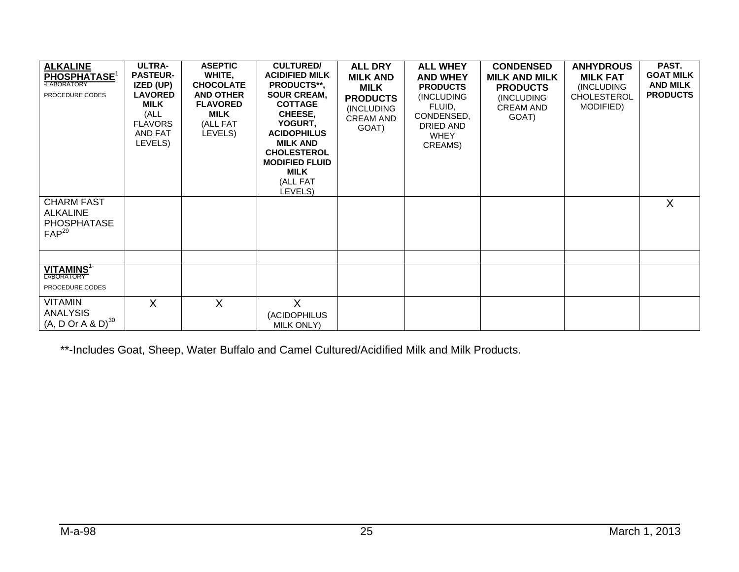| <b>ALKALINE</b><br><b>PHOSPHATASE<sup>1</sup></b><br>-LABORATORY<br>PROCEDURE CODES | <b>ULTRA-</b><br><b>PASTEUR-</b><br>IZED (UP)<br><b>LAVORED</b><br><b>MILK</b><br>(ALL<br><b>FLAVORS</b><br>AND FAT<br>LEVELS) | <b>ASEPTIC</b><br>WHITE,<br><b>CHOCOLATE</b><br><b>AND OTHER</b><br><b>FLAVORED</b><br>MILK<br>(ALL FAT<br>LEVELS) | <b>CULTURED/</b><br><b>ACIDIFIED MILK</b><br><b>PRODUCTS**.</b><br><b>SOUR CREAM,</b><br><b>COTTAGE</b><br>CHEESE,<br>YOGURT,<br><b>ACIDOPHILUS</b><br><b>MILK AND</b><br><b>CHOLESTEROL</b><br><b>MODIFIED FLUID</b><br>MILK<br>(ALL FAT<br>LEVELS) | <b>ALL DRY</b><br><b>MILK AND</b><br><b>MILK</b><br><b>PRODUCTS</b><br>(INCLUDING<br><b>CREAM AND</b><br>GOAT) | <b>ALL WHEY</b><br><b>AND WHEY</b><br><b>PRODUCTS</b><br>(INCLUDING<br>FLUID,<br>CONDENSED,<br>DRIED AND<br><b>WHEY</b><br>CREAMS) | <b>CONDENSED</b><br><b>MILK AND MILK</b><br><b>PRODUCTS</b><br>(INCLUDING<br><b>CREAM AND</b><br>GOAT) | <b>ANHYDROUS</b><br><b>MILK FAT</b><br>(INCLUDING<br><b>CHOLESTEROL</b><br>MODIFIED) | PAST.<br><b>GOAT MILK</b><br><b>AND MILK</b><br><b>PRODUCTS</b> |
|-------------------------------------------------------------------------------------|--------------------------------------------------------------------------------------------------------------------------------|--------------------------------------------------------------------------------------------------------------------|------------------------------------------------------------------------------------------------------------------------------------------------------------------------------------------------------------------------------------------------------|----------------------------------------------------------------------------------------------------------------|------------------------------------------------------------------------------------------------------------------------------------|--------------------------------------------------------------------------------------------------------|--------------------------------------------------------------------------------------|-----------------------------------------------------------------|
| <b>CHARM FAST</b><br><b>ALKALINE</b><br><b>PHOSPHATASE</b><br>$FAP^{29}$            |                                                                                                                                |                                                                                                                    |                                                                                                                                                                                                                                                      |                                                                                                                |                                                                                                                                    |                                                                                                        |                                                                                      | X                                                               |
| VITAMINS <sup>1-</sup><br>LABORATORY<br>PROCEDURE CODES                             |                                                                                                                                |                                                                                                                    |                                                                                                                                                                                                                                                      |                                                                                                                |                                                                                                                                    |                                                                                                        |                                                                                      |                                                                 |
| <b>VITAMIN</b><br><b>ANALYSIS</b><br>$(A, D$ Or A & D $)^{30}$                      | $\sf X$                                                                                                                        | X                                                                                                                  | $\mathsf{X}$<br>(ACIDOPHILUS<br><b>MILK ONLY)</b>                                                                                                                                                                                                    |                                                                                                                |                                                                                                                                    |                                                                                                        |                                                                                      |                                                                 |

\*\*-Includes Goat, Sheep, Water Buffalo and Camel Cultured/Acidified Milk and Milk Products.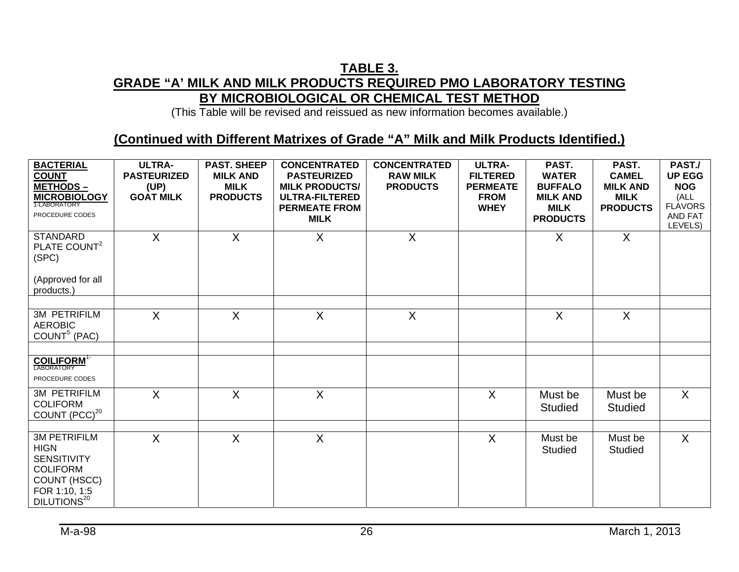### **TABLE 3. GRADE "A' MILK AND MILK PRODUCTS REQUIRED PMO LABORATORY TESTING BY MICROBIOLOGICAL OR CHEMICAL TEST METHOD**

(This Table will be revised and reissued as new information becomes available.)

#### **(Continued with Different Matrixes of Grade "A" Milk and Milk Products Identified.)**

| <b>BACTERIAL</b><br><b>COUNT</b><br><b>METHODS-</b><br><b>MICROBIOLOGY</b><br>PROCEDURE CODES                                           | <b>ULTRA-</b><br><b>PASTEURIZED</b><br>(UP)<br><b>GOAT MILK</b> | <b>PAST. SHEEP</b><br><b>MILK AND</b><br><b>MILK</b><br><b>PRODUCTS</b> | <b>CONCENTRATED</b><br><b>PASTEURIZED</b><br><b>MILK PRODUCTS/</b><br><b>ULTRA-FILTERED</b><br><b>PERMEATE FROM</b><br><b>MILK</b> | <b>CONCENTRATED</b><br><b>RAW MILK</b><br><b>PRODUCTS</b> | <b>ULTRA-</b><br><b>FILTERED</b><br><b>PERMEATE</b><br><b>FROM</b><br><b>WHEY</b> | PAST.<br><b>WATER</b><br><b>BUFFALO</b><br><b>MILK AND</b><br><b>MILK</b><br><b>PRODUCTS</b> | PAST.<br><b>CAMEL</b><br><b>MILK AND</b><br><b>MILK</b><br><b>PRODUCTS</b> | PAST./<br><b>UP EGG</b><br><b>NOG</b><br>(ALL<br><b>FLAVORS</b><br>AND FAT<br>LEVELS) |
|-----------------------------------------------------------------------------------------------------------------------------------------|-----------------------------------------------------------------|-------------------------------------------------------------------------|------------------------------------------------------------------------------------------------------------------------------------|-----------------------------------------------------------|-----------------------------------------------------------------------------------|----------------------------------------------------------------------------------------------|----------------------------------------------------------------------------|---------------------------------------------------------------------------------------|
| <b>STANDARD</b><br>PLATE COUNT <sup>2</sup><br>(SPC)<br>(Approved for all<br>products.)                                                 | $\mathsf{X}$                                                    | $\sf X$                                                                 | $\sf X$                                                                                                                            | $\mathsf{X}$                                              |                                                                                   | $\sf X$                                                                                      | X                                                                          |                                                                                       |
|                                                                                                                                         |                                                                 |                                                                         |                                                                                                                                    |                                                           |                                                                                   |                                                                                              |                                                                            |                                                                                       |
| <b>3M PETRIFILM</b><br><b>AEROBIC</b><br>COUNT <sup>5</sup> (PAC)                                                                       | X                                                               | $\sf X$                                                                 | $\sf X$                                                                                                                            | X                                                         |                                                                                   | X                                                                                            | X                                                                          |                                                                                       |
|                                                                                                                                         |                                                                 |                                                                         |                                                                                                                                    |                                                           |                                                                                   |                                                                                              |                                                                            |                                                                                       |
| <b>COILIFORM</b> <sup>1-</sup><br>LABORATORY<br>PROCEDURE CODES                                                                         |                                                                 |                                                                         |                                                                                                                                    |                                                           |                                                                                   |                                                                                              |                                                                            |                                                                                       |
| <b>3M PETRIFILM</b><br><b>COLIFORM</b><br>COUNT (PCC) <sup>20</sup>                                                                     | $\overline{X}$                                                  | $\overline{X}$                                                          | $\sf X$                                                                                                                            |                                                           | $\sf X$                                                                           | Must be<br><b>Studied</b>                                                                    | Must be<br><b>Studied</b>                                                  | $\overline{X}$                                                                        |
|                                                                                                                                         |                                                                 |                                                                         |                                                                                                                                    |                                                           |                                                                                   |                                                                                              |                                                                            |                                                                                       |
| <b>3M PETRIFILM</b><br><b>HIGN</b><br><b>SENSITIVITY</b><br><b>COLIFORM</b><br>COUNT (HSCC)<br>FOR 1:10, 1:5<br>DILUTIONS <sup>20</sup> | $\mathsf{X}$                                                    | $\sf X$                                                                 | $\sf X$                                                                                                                            |                                                           | $\sf X$                                                                           | Must be<br><b>Studied</b>                                                                    | Must be<br><b>Studied</b>                                                  | $\mathsf{X}$                                                                          |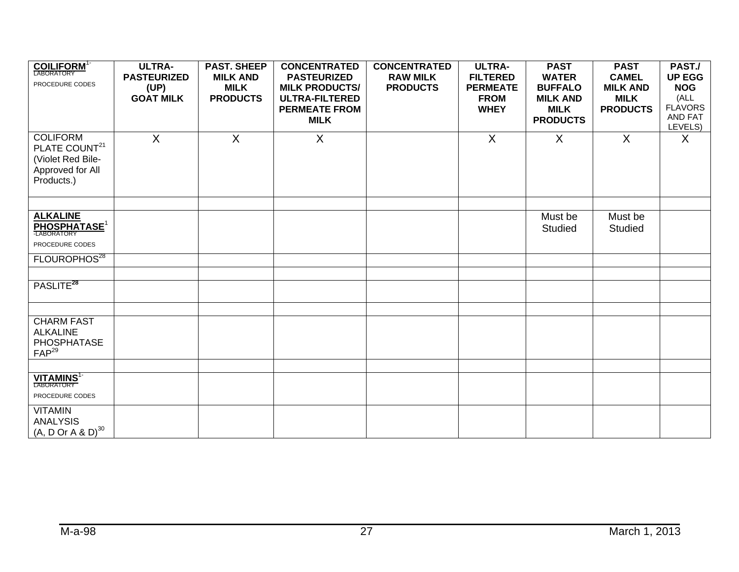| <b>COILIFORM</b> <sup>1</sup><br>PROCEDURE CODES                                                    | <b>ULTRA-</b><br><b>PASTEURIZED</b><br>(UP)<br><b>GOAT MILK</b> | <b>PAST. SHEEP</b><br><b>MILK AND</b><br><b>MILK</b><br><b>PRODUCTS</b> | <b>CONCENTRATED</b><br><b>PASTEURIZED</b><br><b>MILK PRODUCTS/</b><br><b>ULTRA-FILTERED</b><br><b>PERMEATE FROM</b><br><b>MILK</b> | <b>CONCENTRATED</b><br><b>RAW MILK</b><br><b>PRODUCTS</b> | <b>ULTRA-</b><br><b>FILTERED</b><br><b>PERMEATE</b><br><b>FROM</b><br><b>WHEY</b> | <b>PAST</b><br><b>WATER</b><br><b>BUFFALO</b><br><b>MILK AND</b><br><b>MILK</b><br><b>PRODUCTS</b> | <b>PAST</b><br><b>CAMEL</b><br><b>MILK AND</b><br><b>MILK</b><br><b>PRODUCTS</b> | PAST./<br><b>UP EGG</b><br><b>NOG</b><br>(ALL<br><b>FLAVORS</b><br>AND FAT<br>LEVELS) |
|-----------------------------------------------------------------------------------------------------|-----------------------------------------------------------------|-------------------------------------------------------------------------|------------------------------------------------------------------------------------------------------------------------------------|-----------------------------------------------------------|-----------------------------------------------------------------------------------|----------------------------------------------------------------------------------------------------|----------------------------------------------------------------------------------|---------------------------------------------------------------------------------------|
| <b>COLIFORM</b><br>PLATE COUNT <sup>21</sup><br>(Violet Red Bile-<br>Approved for All<br>Products.) | X                                                               | $\sf X$                                                                 | X                                                                                                                                  |                                                           | $\sf X$                                                                           | $\chi$                                                                                             | $\sf X$                                                                          | $\sf X$                                                                               |
|                                                                                                     |                                                                 |                                                                         |                                                                                                                                    |                                                           |                                                                                   |                                                                                                    |                                                                                  |                                                                                       |
| <b>ALKALINE</b><br><b>PHOSPHATASE<sup>1</sup></b><br>PROCEDURE CODES                                |                                                                 |                                                                         |                                                                                                                                    |                                                           |                                                                                   | Must be<br><b>Studied</b>                                                                          | Must be<br><b>Studied</b>                                                        |                                                                                       |
| FLOUROPHOS <sup>28</sup>                                                                            |                                                                 |                                                                         |                                                                                                                                    |                                                           |                                                                                   |                                                                                                    |                                                                                  |                                                                                       |
|                                                                                                     |                                                                 |                                                                         |                                                                                                                                    |                                                           |                                                                                   |                                                                                                    |                                                                                  |                                                                                       |
| PASLITE <sup>28</sup>                                                                               |                                                                 |                                                                         |                                                                                                                                    |                                                           |                                                                                   |                                                                                                    |                                                                                  |                                                                                       |
|                                                                                                     |                                                                 |                                                                         |                                                                                                                                    |                                                           |                                                                                   |                                                                                                    |                                                                                  |                                                                                       |
| <b>CHARM FAST</b><br><b>ALKALINE</b><br>PHOSPHATASE<br>$FAP^{29}$                                   |                                                                 |                                                                         |                                                                                                                                    |                                                           |                                                                                   |                                                                                                    |                                                                                  |                                                                                       |
|                                                                                                     |                                                                 |                                                                         |                                                                                                                                    |                                                           |                                                                                   |                                                                                                    |                                                                                  |                                                                                       |
| <b>VITAMINS<sup>1-</sup></b><br>PROCEDURE CODES                                                     |                                                                 |                                                                         |                                                                                                                                    |                                                           |                                                                                   |                                                                                                    |                                                                                  |                                                                                       |
| <b>VITAMIN</b><br><b>ANALYSIS</b><br>$(A, D \r{Or } A \& D)^{30}$                                   |                                                                 |                                                                         |                                                                                                                                    |                                                           |                                                                                   |                                                                                                    |                                                                                  |                                                                                       |